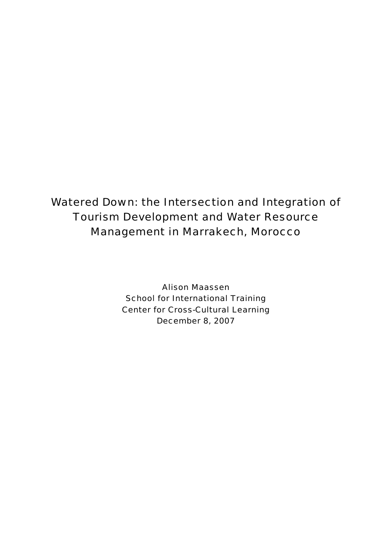## Watered Down: the Intersection and Integration of Tourism Development and Water Resource Management in Marrakech, Morocco

Alison Maassen School for International Training Center for Cross-Cultural Learning December 8, 2007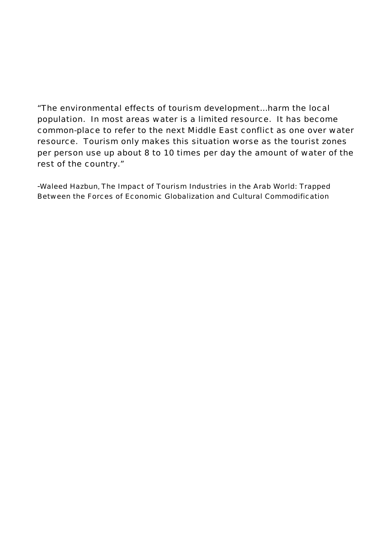"The environmental effects of tourism development…harm the local population. In most areas water is a limited resource. It has become common-place to refer to the next Middle East conflict as one over water resource. Tourism only makes this situation worse as the tourist zones per person use up about 8 to 10 times per day the amount of water of the rest of the country."

-Waleed Hazbun, *The Impact of Tourism Industries in the Arab World: Trapped Between the Forces of Economic Globalization and Cultural Commodification*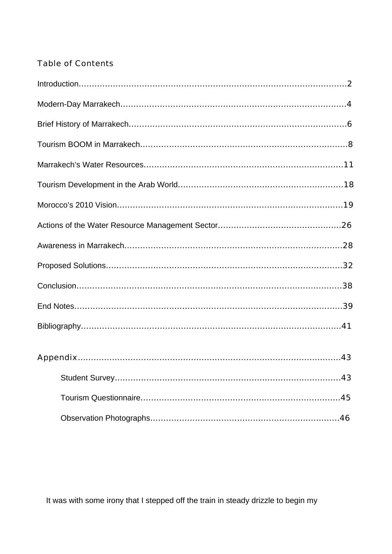### Table of Contents

It was with some irony that I stepped off the train in steady drizzle to begin my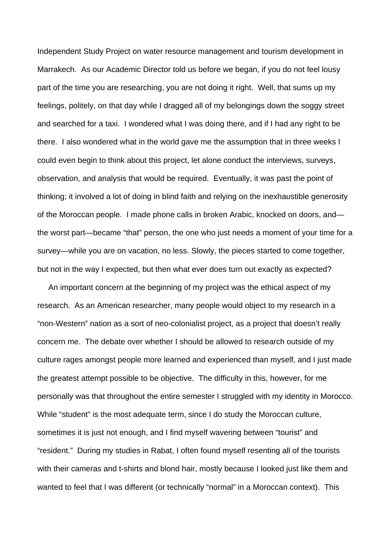Independent Study Project on water resource management and tourism development in Marrakech. As our Academic Director told us before we began, if you do not feel lousy part of the time you are researching, you are not doing it right. Well, that sums up my feelings, politely, on that day while I dragged all of my belongings down the soggy street and searched for a taxi. I wondered what I was doing there, and if I had any right to be there. I also wondered what in the world gave me the assumption that in three weeks I could even begin to think about this project, let alone conduct the interviews, surveys, observation, and analysis that would be required. Eventually, it was past the point of thinking; it involved a lot of doing in blind faith and relying on the inexhaustible generosity of the Moroccan people. I made phone calls in broken Arabic, knocked on doors, and the worst part—became "that" person, the one who just needs a moment of your time for a survey—while you are on vacation, no less. Slowly, the pieces started to come together, but not in the way I expected, but then what ever does turn out exactly as expected?

 An important concern at the beginning of my project was the ethical aspect of my research. As an American researcher, many people would object to my research in a "non-Western" nation as a sort of neo-colonialist project, as a project that doesn't really concern me. The debate over whether I should be allowed to research outside of my culture rages amongst people more learned and experienced than myself, and I just made the greatest attempt possible to be objective. The difficulty in this, however, for me personally was that throughout the entire semester I struggled with my identity in Morocco. While "student" is the most adequate term, since I do study the Moroccan culture, sometimes it is just not enough, and I find myself wavering between "tourist" and "resident." During my studies in Rabat, I often found myself resenting all of the tourists with their cameras and t-shirts and blond hair, mostly because I looked just like them and wanted to feel that I was different (or technically "normal" in a Moroccan context). This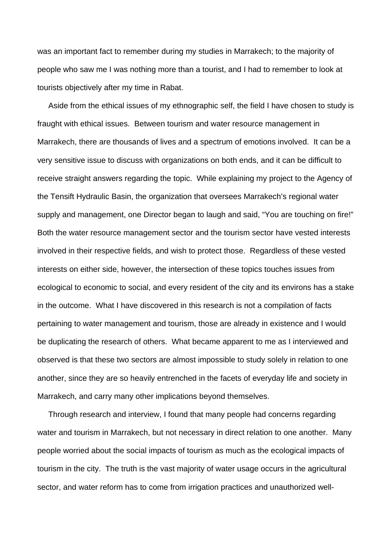was an important fact to remember during my studies in Marrakech; to the majority of people who saw me I was nothing more than a tourist, and I had to remember to look at tourists objectively after my time in Rabat.

 Aside from the ethical issues of my ethnographic self, the field I have chosen to study is fraught with ethical issues. Between tourism and water resource management in Marrakech, there are thousands of lives and a spectrum of emotions involved. It can be a very sensitive issue to discuss with organizations on both ends, and it can be difficult to receive straight answers regarding the topic. While explaining my project to the Agency of the Tensift Hydraulic Basin, the organization that oversees Marrakech's regional water supply and management, one Director began to laugh and said, "You are touching on fire!" Both the water resource management sector and the tourism sector have vested interests involved in their respective fields, and wish to protect those. Regardless of these vested interests on either side, however, the intersection of these topics touches issues from ecological to economic to social, and every resident of the city and its environs has a stake in the outcome. What I have discovered in this research is not a compilation of facts pertaining to water management and tourism, those are already in existence and I would be duplicating the research of others. What became apparent to me as I interviewed and observed is that these two sectors are almost impossible to study solely in relation to one another, since they are so heavily entrenched in the facets of everyday life and society in Marrakech, and carry many other implications beyond themselves.

 Through research and interview, I found that many people had concerns regarding water and tourism in Marrakech, but not necessary in direct relation to one another. Many people worried about the social impacts of tourism as much as the ecological impacts of tourism in the city. The truth is the vast majority of water usage occurs in the agricultural sector, and water reform has to come from irrigation practices and unauthorized well-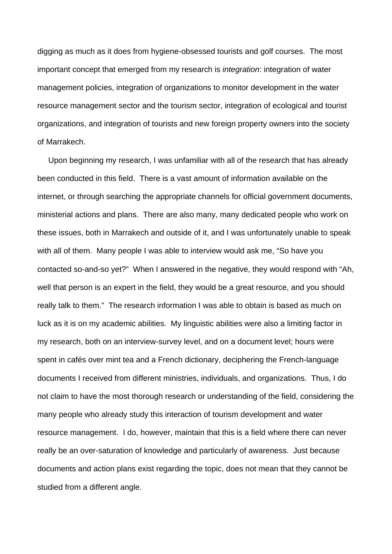digging as much as it does from hygiene-obsessed tourists and golf courses. The most important concept that emerged from my research is *integration*: integration of water management policies, integration of organizations to monitor development in the water resource management sector and the tourism sector, integration of ecological and tourist organizations, and integration of tourists and new foreign property owners into the society of Marrakech.

 Upon beginning my research, I was unfamiliar with all of the research that has already been conducted in this field. There is a vast amount of information available on the internet, or through searching the appropriate channels for official government documents, ministerial actions and plans. There are also many, many dedicated people who work on these issues, both in Marrakech and outside of it, and I was unfortunately unable to speak with all of them. Many people I was able to interview would ask me, "So have you contacted so-and-so yet?" When I answered in the negative, they would respond with "Ah, well that person is an expert in the field, they would be a great resource, and you should really talk to them." The research information I was able to obtain is based as much on luck as it is on my academic abilities. My linguistic abilities were also a limiting factor in my research, both on an interview-survey level, and on a document level; hours were spent in cafés over mint tea and a French dictionary, deciphering the French-language documents I received from different ministries, individuals, and organizations. Thus, I do not claim to have the most thorough research or understanding of the field, considering the many people who already study this interaction of tourism development and water resource management. I do, however, maintain that this is a field where there can never really be an over-saturation of knowledge and particularly of awareness. Just because documents and action plans exist regarding the topic, does not mean that they cannot be studied from a different angle.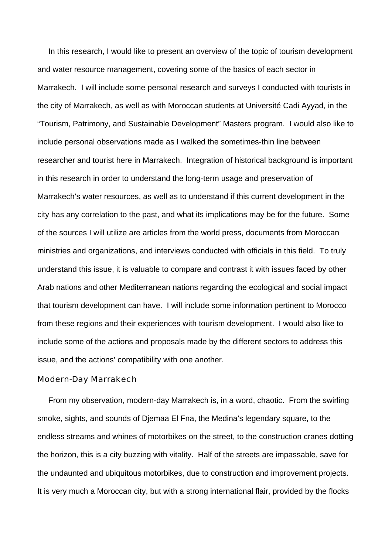In this research, I would like to present an overview of the topic of tourism development and water resource management, covering some of the basics of each sector in Marrakech. I will include some personal research and surveys I conducted with tourists in the city of Marrakech, as well as with Moroccan students at Université Cadi Ayyad, in the "Tourism, Patrimony, and Sustainable Development" Masters program. I would also like to include personal observations made as I walked the sometimes-thin line between researcher and tourist here in Marrakech. Integration of historical background is important in this research in order to understand the long-term usage and preservation of Marrakech's water resources, as well as to understand if this current development in the city has any correlation to the past, and what its implications may be for the future. Some of the sources I will utilize are articles from the world press, documents from Moroccan ministries and organizations, and interviews conducted with officials in this field. To truly understand this issue, it is valuable to compare and contrast it with issues faced by other Arab nations and other Mediterranean nations regarding the ecological and social impact that tourism development can have. I will include some information pertinent to Morocco from these regions and their experiences with tourism development. I would also like to include some of the actions and proposals made by the different sectors to address this issue, and the actions' compatibility with one another.

#### Modern-Day Marrakech

 From my observation, modern-day Marrakech is, in a word, chaotic. From the swirling smoke, sights, and sounds of Djemaa El Fna, the Medina's legendary square, to the endless streams and whines of motorbikes on the street, to the construction cranes dotting the horizon, this is a city buzzing with vitality. Half of the streets are impassable, save for the undaunted and ubiquitous motorbikes, due to construction and improvement projects. It is very much a Moroccan city, but with a strong international flair, provided by the flocks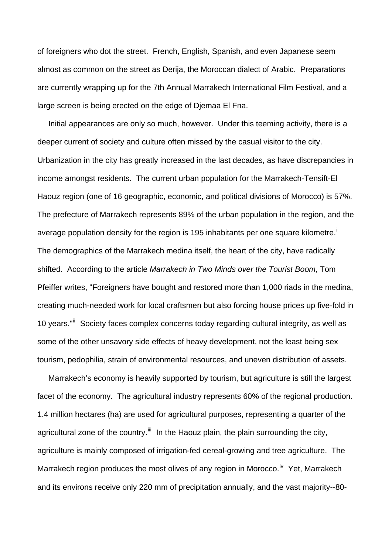of foreigners who dot the street. French, English, Spanish, and even Japanese seem almost as common on the street as Derija, the Moroccan dialect of Arabic. Preparations are currently wrapping up for the 7th Annual Marrakech International Film Festival, and a large screen is being erected on the edge of Djemaa El Fna.

 Initial appearances are only so much, however. Under this teeming activity, there is a deeper current of society and culture often missed by the casual visitor to the city. Urbanization in the city has greatly increased in the last decades, as have discrepancies in income amongst residents. The current urban population for the Marrakech-Tensift-El Haouz region (one of 16 geographic, economic, and political divisions of Morocco) is 57%. The prefecture of Marrakech represents 89% of the urban population in the region, and the average populat[i](#page-49-0)on density for the region is 195 inhabitants per one square kilometre.<sup>i</sup> The demographics of the Marrakech medina itself, the heart of the city, have radically shifted. According to the article *Marrakech in Two Minds over the Tourist Boom*, Tom Pfeiffer writes, "Foreigners have bought and restored more than 1,000 riads in the medina, creating much-needed work for local craftsmen but also forcing house prices up five-fold in 10 years."<sup>[ii](#page-49-1)</sup> Society faces complex concerns today regarding cultural integrity, as well as some of the other unsavory side effects of heavy development, not the least being sex tourism, pedophilia, strain of environmental resources, and uneven distribution of assets.

 Marrakech's economy is heavily supported by tourism, but agriculture is still the largest facet of the economy. The agricultural industry represents 60% of the regional production. 1.4 million hectares (ha) are used for agricultural purposes, representing a quarter of the agricultural zone of the country.<sup>[iii](#page-49-1)</sup> In the Haouz plain, the plain surrounding the city, agriculture is mainly composed of irrigation-fed cereal-growing and tree agriculture. The Marrakech region produces the most ol[iv](#page-49-1)es of any region in Morocco.<sup>iv</sup> Yet, Marrakech and its environs receive only 220 mm of precipitation annually, and the vast majority--80-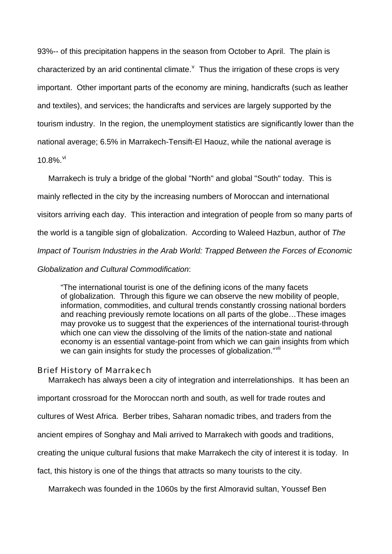93%-- of this precipitation happens in the season from October to April. The plain is characterized by an arid continental climate. $<sup>v</sup>$  $<sup>v</sup>$  $<sup>v</sup>$  Thus the irrigation of these crops is very</sup> important. Other important parts of the economy are mining, handicrafts (such as leather and textiles), and services; the handicrafts and services are largely supported by the tourism industry. In the region, the unemployment statistics are significantly lower than the national average; 6.5% in Marrakech-Tensift-El Haouz, while the national average is  $10.8\%$ .  $\frac{V}{I}$ 

 Marrakech is truly a bridge of the global "North" and global "South" today. This is mainly reflected in the city by the increasing numbers of Moroccan and international visitors arriving each day. This interaction and integration of people from so many parts of the world is a tangible sign of globalization. According to Waleed Hazbun, author of *The Impact of Tourism Industries in the Arab World: Trapped Between the Forces of Economic* 

*Globalization and Cultural Commodification*:

 "The international tourist is one of the defining icons of the many facets of globalization. Through this figure we can observe the new mobility of people, information, commodities, and cultural trends constantly crossing national borders and reaching previously remote locations on all parts of the globe…These images may provoke us to suggest that the experiences of the international tourist-through which one can view the dissolving of the limits of the nation-state and national economy is an essential vantage-point from which we can gain insights from which we can gain insights for study the processes of globalization."Vil

#### Brief History of Marrakech

 Marrakech has always been a city of integration and interrelationships. It has been an important crossroad for the Moroccan north and south, as well for trade routes and cultures of West Africa. Berber tribes, Saharan nomadic tribes, and traders from the ancient empires of Songhay and Mali arrived to Marrakech with goods and traditions, creating the unique cultural fusions that make Marrakech the city of interest it is today. In fact, this history is one of the things that attracts so many tourists to the city. Marrakech was founded in the 1060s by the first Almoravid sultan, Youssef Ben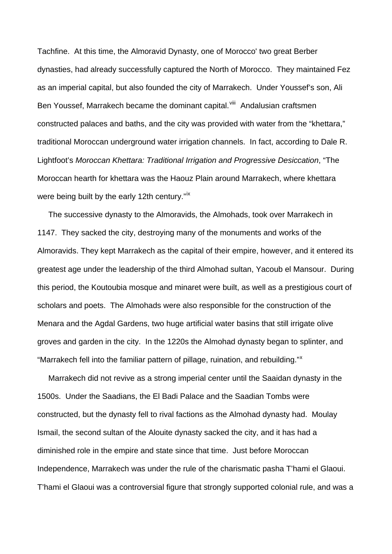Tachfine. At this time, the Almoravid Dynasty, one of Morocco' two great Berber dynasties, had already successfully captured the North of Morocco. They maintained Fez as an imperial capital, but also founded the city of Marrakech. Under Youssef's son, Ali Ben Youssef, Marrakech became the dominant capital.<sup>[viii](#page-49-1)</sup> Andalusian craftsmen constructed palaces and baths, and the city was provided with water from the "khettara," traditional Moroccan underground water irrigation channels. In fact, according to Dale R. Lightfoot's *Moroccan Khettara: Traditional Irrigation and Progressive Desiccation*, "The Moroccan hearth for khettara was the Haouz Plain around Marrakech, where khettara were being built by the early 12th century."<sup>[ix](#page-49-1)</sup>

 The successive dynasty to the Almoravids, the Almohads, took over Marrakech in 1147. They sacked the city, destroying many of the monuments and works of the Almoravids. They kept Marrakech as the capital of their empire, however, and it entered its greatest age under the leadership of the third Almohad sultan, Yacoub el Mansour. During this period, the Koutoubia mosque and minaret were built, as well as a prestigious court of scholars and poets. The Almohads were also responsible for the construction of the Menara and the Agdal Gardens, two huge artificial water basins that still irrigate olive groves and garden in the city. In the 1220s the Almohad dynasty began to splinter, and "Marrakech fell into the familiar pattern of pillage, ruination, and rebuilding."<sup>[x](#page-49-1)</sup>

 Marrakech did not revive as a strong imperial center until the Saaidan dynasty in the 1500s. Under the Saadians, the El Badi Palace and the Saadian Tombs were constructed, but the dynasty fell to rival factions as the Almohad dynasty had. Moulay Ismail, the second sultan of the Alouite dynasty sacked the city, and it has had a diminished role in the empire and state since that time. Just before Moroccan Independence, Marrakech was under the rule of the charismatic pasha T'hami el Glaoui. T'hami el Glaoui was a controversial figure that strongly supported colonial rule, and was a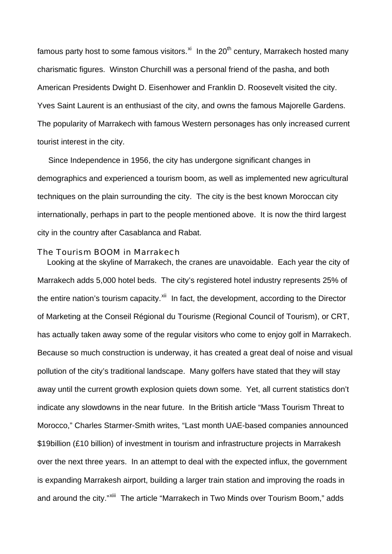famous party host to some famous visitors. $x^i$  In the 20<sup>th</sup> century, Marrakech hosted many charismatic figures. Winston Churchill was a personal friend of the pasha, and both American Presidents Dwight D. Eisenhower and Franklin D. Roosevelt visited the city. Yves Saint Laurent is an enthusiast of the city, and owns the famous Majorelle Gardens. The popularity of Marrakech with famous Western personages has only increased current tourist interest in the city.

 Since Independence in 1956, the city has undergone significant changes in demographics and experienced a tourism boom, as well as implemented new agricultural techniques on the plain surrounding the city. The city is the best known Moroccan city internationally, perhaps in part to the people mentioned above. It is now the third largest city in the country after Casablanca and Rabat.

#### The Tourism BOOM in Marrakech

 Looking at the skyline of Marrakech, the cranes are unavoidable. Each year the city of Marrakech adds 5,000 hotel beds. The city's registered hotel industry represents 25% of the entire nation's tourism capacity.<sup>[xii](#page-49-1)</sup> In fact, the development, according to the Director of Marketing at the Conseil Régional du Tourisme (Regional Council of Tourism), or CRT, has actually taken away some of the regular visitors who come to enjoy golf in Marrakech. Because so much construction is underway, it has created a great deal of noise and visual pollution of the city's traditional landscape. Many golfers have stated that they will stay away until the current growth explosion quiets down some. Yet, all current statistics don't indicate any slowdowns in the near future. In the British article "Mass Tourism Threat to Morocco," Charles Starmer-Smith writes, "Last month UAE-based companies announced \$19billion (£10 billion) of investment in tourism and infrastructure projects in Marrakesh over the next three years. In an attempt to deal with the expected influx, the government is expanding Marrakesh airport, building a larger train station and improving the roads in and around the city."<sup>Xiii</sup> The article "Marrakech in Two Minds over Tourism Boom," adds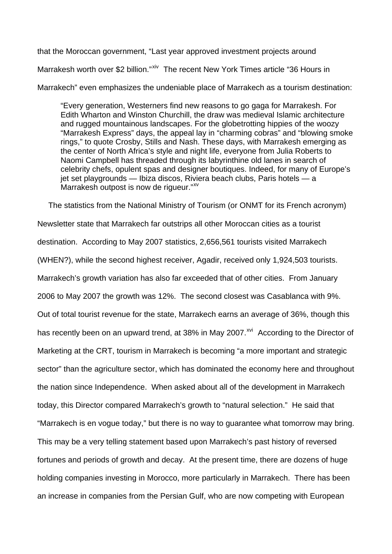that the Moroccan government, "Last year approved investment projects around

Marrakesh worth over \$2 billion."<sup>[xiv](#page-49-1)</sup> The recent New York Times article "36 Hours in

Marrakech" even emphasizes the undeniable place of Marrakech as a tourism destination:

"Every generation, Westerners find new reasons to go gaga for Marrakesh. For Edith Wharton and Winston Churchill, the draw was medieval Islamic architecture and rugged mountainous landscapes. For the globetrotting hippies of the woozy "Marrakesh Express" days, the appeal lay in "charming cobras" and "blowing smoke rings," to quote Crosby, Stills and Nash. These days, with Marrakesh emerging as the center of North Africa's style and night life, everyone from Julia Roberts to Naomi Campbell has threaded through its labyrinthine old lanes in search of celebrity chefs, opulent spas and designer boutiques. Indeed, for many of Europe's jet set playgrounds — Ibiza discos, Riviera beach clubs, Paris hotels — a Marrakesh outpost is now de riqueur."<sup>XV</sup>

 The statistics from the National Ministry of Tourism (or ONMT for its French acronym) Newsletter state that Marrakech far outstrips all other Moroccan cities as a tourist destination. According to May 2007 statistics, 2,656,561 tourists visited Marrakech (WHEN?), while the second highest receiver, Agadir, received only 1,924,503 tourists. Marrakech's growth variation has also far exceeded that of other cities. From January 2006 to May 2007 the growth was 12%. The second closest was Casablanca with 9%. Out of total tourist revenue for the state, Marrakech earns an average of 36%, though this has recently been on an upward trend, at 38% in May 2007.<sup>[xvi](#page-49-1)</sup> According to the Director of Marketing at the CRT, tourism in Marrakech is becoming "a more important and strategic sector" than the agriculture sector, which has dominated the economy here and throughout the nation since Independence. When asked about all of the development in Marrakech today, this Director compared Marrakech's growth to "natural selection." He said that "Marrakech is en vogue today," but there is no way to guarantee what tomorrow may bring. This may be a very telling statement based upon Marrakech's past history of reversed fortunes and periods of growth and decay. At the present time, there are dozens of huge holding companies investing in Morocco, more particularly in Marrakech. There has been an increase in companies from the Persian Gulf, who are now competing with European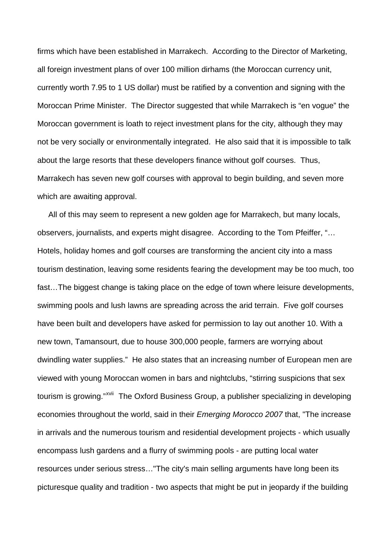firms which have been established in Marrakech. According to the Director of Marketing, all foreign investment plans of over 100 million dirhams (the Moroccan currency unit, currently worth 7.95 to 1 US dollar) must be ratified by a convention and signing with the Moroccan Prime Minister. The Director suggested that while Marrakech is "en vogue" the Moroccan government is loath to reject investment plans for the city, although they may not be very socially or environmentally integrated. He also said that it is impossible to talk about the large resorts that these developers finance without golf courses. Thus, Marrakech has seven new golf courses with approval to begin building, and seven more which are awaiting approval.

 All of this may seem to represent a new golden age for Marrakech, but many locals, observers, journalists, and experts might disagree. According to the Tom Pfeiffer, "… Hotels, holiday homes and golf courses are transforming the ancient city into a mass tourism destination, leaving some residents fearing the development may be too much, too fast…The biggest change is taking place on the edge of town where leisure developments, swimming pools and lush lawns are spreading across the arid terrain. Five golf courses have been built and developers have asked for permission to lay out another 10. With a new town, Tamansourt, due to house 300,000 people, farmers are worrying about dwindling water supplies." He also states that an increasing number of European men are viewed with young Moroccan women in bars and nightclubs, "stirring suspicions that sex tourism is growing."[xvii](#page-49-1) The Oxford Business Group, a publisher specializing in developing economies throughout the world, said in their *Emerging Morocco 2007* that, "The increase in arrivals and the numerous tourism and residential development projects - which usually encompass lush gardens and a flurry of swimming pools - are putting local water resources under serious stress…"The city's main selling arguments have long been its picturesque quality and tradition - two aspects that might be put in jeopardy if the building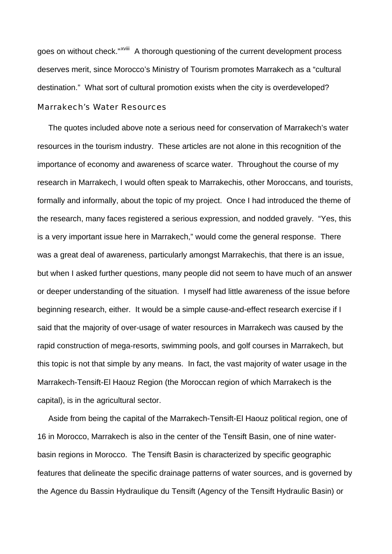goes on without check."<sup>XVIII</sup> A thorough questioning of the current development process deserves merit, since Morocco's Ministry of Tourism promotes Marrakech as a "cultural destination." What sort of cultural promotion exists when the city is overdeveloped?

#### Marrakech's Water Resources

 The quotes included above note a serious need for conservation of Marrakech's water resources in the tourism industry. These articles are not alone in this recognition of the importance of economy and awareness of scarce water. Throughout the course of my research in Marrakech, I would often speak to Marrakechis, other Moroccans, and tourists, formally and informally, about the topic of my project. Once I had introduced the theme of the research, many faces registered a serious expression, and nodded gravely. "Yes, this is a very important issue here in Marrakech," would come the general response. There was a great deal of awareness, particularly amongst Marrakechis, that there is an issue, but when I asked further questions, many people did not seem to have much of an answer or deeper understanding of the situation. I myself had little awareness of the issue before beginning research, either. It would be a simple cause-and-effect research exercise if I said that the majority of over-usage of water resources in Marrakech was caused by the rapid construction of mega-resorts, swimming pools, and golf courses in Marrakech, but this topic is not that simple by any means. In fact, the vast majority of water usage in the Marrakech-Tensift-El Haouz Region (the Moroccan region of which Marrakech is the capital), is in the agricultural sector.

 Aside from being the capital of the Marrakech-Tensift-El Haouz political region, one of 16 in Morocco, Marrakech is also in the center of the Tensift Basin, one of nine waterbasin regions in Morocco. The Tensift Basin is characterized by specific geographic features that delineate the specific drainage patterns of water sources, and is governed by the Agence du Bassin Hydraulique du Tensift (Agency of the Tensift Hydraulic Basin) or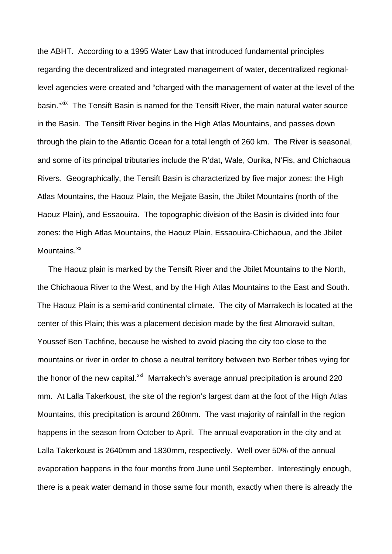the ABHT. According to a 1995 Water Law that introduced fundamental principles regarding the decentralized and integrated management of water, decentralized regionallevel agencies were created and "charged with the management of water at the level of the basin."<sup>[xix](#page-49-1)</sup> The Tensift Basin is named for the Tensift River, the main natural water source in the Basin. The Tensift River begins in the High Atlas Mountains, and passes down through the plain to the Atlantic Ocean for a total length of 260 km. The River is seasonal, and some of its principal tributaries include the R'dat, Wale, Ourika, N'Fis, and Chichaoua Rivers. Geographically, the Tensift Basin is characterized by five major zones: the High Atlas Mountains, the Haouz Plain, the Mejjate Basin, the Jbilet Mountains (north of the Haouz Plain), and Essaouira. The topographic division of the Basin is divided into four zones: the High Atlas Mountains, the Haouz Plain, Essaouira-Chichaoua, and the Jbilet Mountains.<sup>[xx](#page-49-1)</sup>

 The Haouz plain is marked by the Tensift River and the Jbilet Mountains to the North, the Chichaoua River to the West, and by the High Atlas Mountains to the East and South. The Haouz Plain is a semi-arid continental climate. The city of Marrakech is located at the center of this Plain; this was a placement decision made by the first Almoravid sultan, Youssef Ben Tachfine, because he wished to avoid placing the city too close to the mountains or river in order to chose a neutral territory between two Berber tribes vying for the honor of the new capital. $^{xxi}$  $^{xxi}$  $^{xxi}$  Marrakech's average annual precipitation is around 220 mm. At Lalla Takerkoust, the site of the region's largest dam at the foot of the High Atlas Mountains, this precipitation is around 260mm. The vast majority of rainfall in the region happens in the season from October to April. The annual evaporation in the city and at Lalla Takerkoust is 2640mm and 1830mm, respectively. Well over 50% of the annual evaporation happens in the four months from June until September. Interestingly enough, there is a peak water demand in those same four month, exactly when there is already the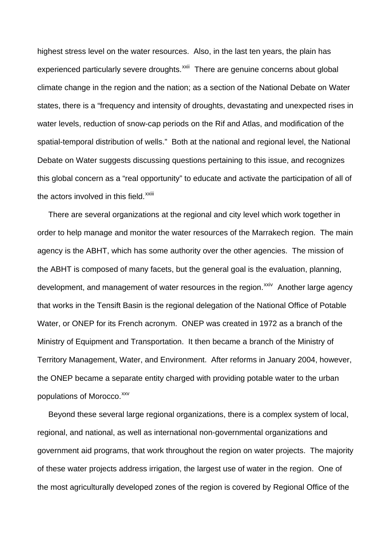highest stress level on the water resources. Also, in the last ten years, the plain has experienced particularly severe droughts.<sup>[xxii](#page-49-1)</sup> There are genuine concerns about global climate change in the region and the nation; as a section of the National Debate on Water states, there is a "frequency and intensity of droughts, devastating and unexpected rises in water levels, reduction of snow-cap periods on the Rif and Atlas, and modification of the spatial-temporal distribution of wells." Both at the national and regional level, the National Debate on Water suggests discussing questions pertaining to this issue, and recognizes this global concern as a "real opportunity" to educate and activate the participation of all of the actors involved in this field.<sup>[xxiii](#page-49-1)</sup>

 There are several organizations at the regional and city level which work together in order to help manage and monitor the water resources of the Marrakech region. The main agency is the ABHT, which has some authority over the other agencies. The mission of the ABHT is composed of many facets, but the general goal is the evaluation, planning, development, and management of water resources in the region. $x_{xx}$  Another large agency that works in the Tensift Basin is the regional delegation of the National Office of Potable Water, or ONEP for its French acronym. ONEP was created in 1972 as a branch of the Ministry of Equipment and Transportation. It then became a branch of the Ministry of Territory Management, Water, and Environment. After reforms in January 2004, however, the ONEP became a separate entity charged with providing potable water to the urban populations of Morocco.<sup>[xxv](#page-49-1)</sup>

 Beyond these several large regional organizations, there is a complex system of local, regional, and national, as well as international non-governmental organizations and government aid programs, that work throughout the region on water projects. The majority of these water projects address irrigation, the largest use of water in the region. One of the most agriculturally developed zones of the region is covered by Regional Office of the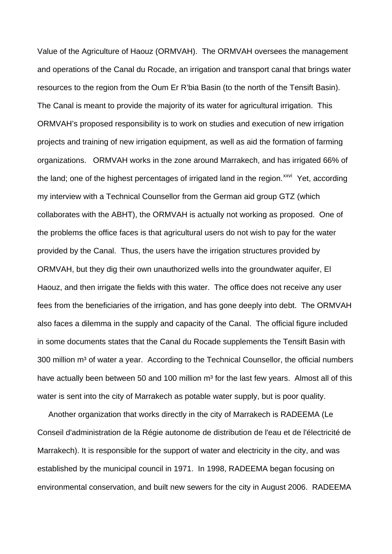Value of the Agriculture of Haouz (ORMVAH). The ORMVAH oversees the management and operations of the Canal du Rocade, an irrigation and transport canal that brings water resources to the region from the Oum Er R'bia Basin (to the north of the Tensift Basin). The Canal is meant to provide the majority of its water for agricultural irrigation. This ORMVAH's proposed responsibility is to work on studies and execution of new irrigation projects and training of new irrigation equipment, as well as aid the formation of farming organizations. ORMVAH works in the zone around Marrakech, and has irrigated 66% of the land; one of the highest percentages of irrigated land in the region. $x^{x}$  Yet, according my interview with a Technical Counsellor from the German aid group GTZ (which collaborates with the ABHT), the ORMVAH is actually not working as proposed. One of the problems the office faces is that agricultural users do not wish to pay for the water provided by the Canal. Thus, the users have the irrigation structures provided by ORMVAH, but they dig their own unauthorized wells into the groundwater aquifer, El Haouz, and then irrigate the fields with this water. The office does not receive any user fees from the beneficiaries of the irrigation, and has gone deeply into debt. The ORMVAH also faces a dilemma in the supply and capacity of the Canal. The official figure included in some documents states that the Canal du Rocade supplements the Tensift Basin with 300 million m<sup>3</sup> of water a year. According to the Technical Counsellor, the official numbers have actually been between 50 and 100 million m<sup>3</sup> for the last few years. Almost all of this water is sent into the city of Marrakech as potable water supply, but is poor quality.

 Another organization that works directly in the city of Marrakech is RADEEMA (Le Conseil d'administration de la Régie autonome de distribution de l'eau et de l'électricité de Marrakech). It is responsible for the support of water and electricity in the city, and was established by the municipal council in 1971. In 1998, RADEEMA began focusing on environmental conservation, and built new sewers for the city in August 2006. RADEEMA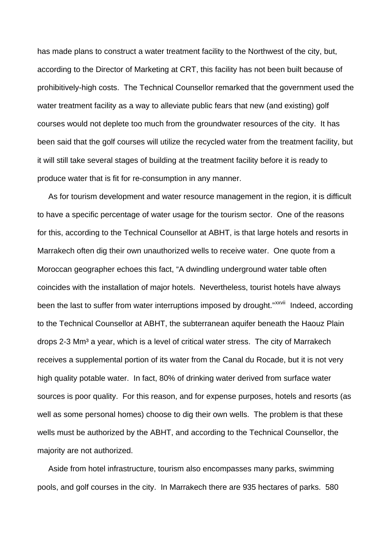has made plans to construct a water treatment facility to the Northwest of the city, but, according to the Director of Marketing at CRT, this facility has not been built because of prohibitively-high costs. The Technical Counsellor remarked that the government used the water treatment facility as a way to alleviate public fears that new (and existing) golf courses would not deplete too much from the groundwater resources of the city. It has been said that the golf courses will utilize the recycled water from the treatment facility, but it will still take several stages of building at the treatment facility before it is ready to produce water that is fit for re-consumption in any manner.

 As for tourism development and water resource management in the region, it is difficult to have a specific percentage of water usage for the tourism sector. One of the reasons for this, according to the Technical Counsellor at ABHT, is that large hotels and resorts in Marrakech often dig their own unauthorized wells to receive water. One quote from a Moroccan geographer echoes this fact, "A dwindling underground water table often coincides with the installation of major hotels. Nevertheless, tourist hotels have always been the last to suffer from water interruptions imposed by drought."<sup>[xxvii](#page-49-1)</sup> Indeed, according to the Technical Counsellor at ABHT, the subterranean aquifer beneath the Haouz Plain drops 2-3 Mm<sup>3</sup> a year, which is a level of critical water stress. The city of Marrakech receives a supplemental portion of its water from the Canal du Rocade, but it is not very high quality potable water. In fact, 80% of drinking water derived from surface water sources is poor quality. For this reason, and for expense purposes, hotels and resorts (as well as some personal homes) choose to dig their own wells. The problem is that these wells must be authorized by the ABHT, and according to the Technical Counsellor, the majority are not authorized.

 Aside from hotel infrastructure, tourism also encompasses many parks, swimming pools, and golf courses in the city. In Marrakech there are 935 hectares of parks. 580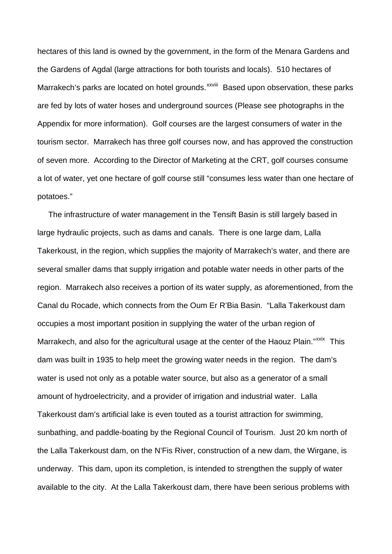hectares of this land is owned by the government, in the form of the Menara Gardens and the Gardens of Agdal (large attractions for both tourists and locals). 510 hectares of Marrakech's parks are located on hotel grounds.<sup>[xxviii](#page-49-1)</sup> Based upon observation, these parks are fed by lots of water hoses and underground sources (Please see photographs in the Appendix for more information). Golf courses are the largest consumers of water in the tourism sector. Marrakech has three golf courses now, and has approved the construction of seven more. According to the Director of Marketing at the CRT, golf courses consume a lot of water, yet one hectare of golf course still "consumes less water than one hectare of potatoes."

 The infrastructure of water management in the Tensift Basin is still largely based in large hydraulic projects, such as dams and canals. There is one large dam, Lalla Takerkoust, in the region, which supplies the majority of Marrakech's water, and there are several smaller dams that supply irrigation and potable water needs in other parts of the region. Marrakech also receives a portion of its water supply, as aforementioned, from the Canal du Rocade, which connects from the Oum Er R'Bia Basin. "Lalla Takerkoust dam occupies a most important position in supplying the water of the urban region of Marrakech, and also for the agricultural usage at the center of the Haouz Plain."<sup>XXIX</sup> This dam was built in 1935 to help meet the growing water needs in the region. The dam's water is used not only as a potable water source, but also as a generator of a small amount of hydroelectricity, and a provider of irrigation and industrial water. Lalla Takerkoust dam's artificial lake is even touted as a tourist attraction for swimming, sunbathing, and paddle-boating by the Regional Council of Tourism. Just 20 km north of the Lalla Takerkoust dam, on the N'Fis River, construction of a new dam, the Wirgane, is underway. This dam, upon its completion, is intended to strengthen the supply of water available to the city. At the Lalla Takerkoust dam, there have been serious problems with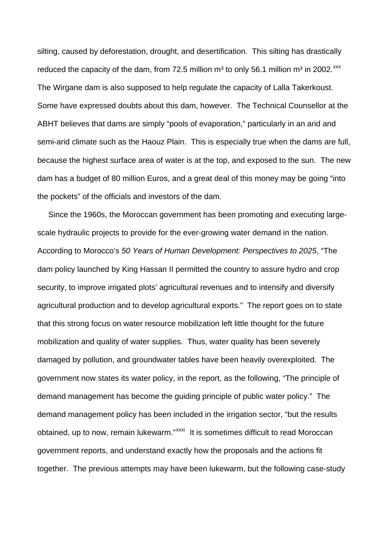silting, caused by deforestation, drought, and desertification. This silting has drastically reduced the capacity of the dam, from 72.5 million  $m<sup>3</sup>$  to only 56.1 million  $m<sup>3</sup>$  in 2002.<sup>[xxx](#page-49-1)</sup> The Wirgane dam is also supposed to help regulate the capacity of Lalla Takerkoust. Some have expressed doubts about this dam, however. The Technical Counsellor at the ABHT believes that dams are simply "pools of evaporation," particularly in an arid and semi-arid climate such as the Haouz Plain. This is especially true when the dams are full, because the highest surface area of water is at the top, and exposed to the sun. The new dam has a budget of 80 million Euros, and a great deal of this money may be going "into the pockets" of the officials and investors of the dam.

 Since the 1960s, the Moroccan government has been promoting and executing largescale hydraulic projects to provide for the ever-growing water demand in the nation. According to Morocco's *50 Years of Human Development: Perspectives to 2025*, "The dam policy launched by King Hassan II permitted the country to assure hydro and crop security, to improve irrigated plots' agricultural revenues and to intensify and diversify agricultural production and to develop agricultural exports." The report goes on to state that this strong focus on water resource mobilization left little thought for the future mobilization and quality of water supplies. Thus, water quality has been severely damaged by pollution, and groundwater tables have been heavily overexploited. The government now states its water policy, in the report, as the following, "The principle of demand management has become the guiding principle of public water policy." The demand management policy has been included in the irrigation sector, "but the results obtained, up to now, remain lukewarm."<sup>[xxxi](#page-49-1)</sup> It is sometimes difficult to read Moroccan government reports, and understand exactly how the proposals and the actions fit together. The previous attempts may have been lukewarm, but the following case-study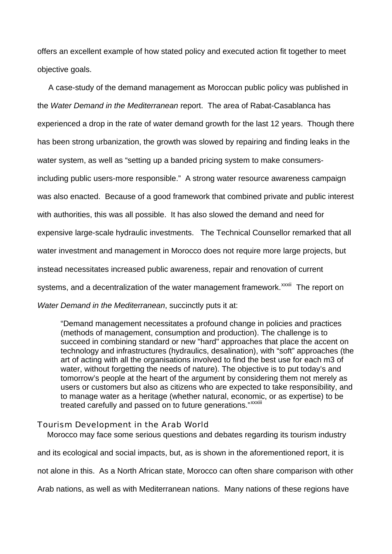offers an excellent example of how stated policy and executed action fit together to meet objective goals.

 A case-study of the demand management as Moroccan public policy was published in the *Water Demand in the Mediterranean* report. The area of Rabat-Casablanca has experienced a drop in the rate of water demand growth for the last 12 years. Though there has been strong urbanization, the growth was slowed by repairing and finding leaks in the water system, as well as "setting up a banded pricing system to make consumersincluding public users-more responsible." A strong water resource awareness campaign was also enacted. Because of a good framework that combined private and public interest with authorities, this was all possible. It has also slowed the demand and need for expensive large-scale hydraulic investments. The Technical Counsellor remarked that all water investment and management in Morocco does not require more large projects, but instead necessitates increased public awareness, repair and renovation of current systems, and a decentralization of the water management framework.<sup>[xxxii](#page-49-1)</sup> The report on *Water Demand in the Mediterranean*, succinctly puts it at:

"Demand management necessitates a profound change in policies and practices (methods of management, consumption and production). The challenge is to succeed in combining standard or new "hard" approaches that place the accent on technology and infrastructures (hydraulics, desalination), with "soft" approaches (the art of acting with all the organisations involved to find the best use for each m3 of water, without forgetting the needs of nature). The objective is to put today's and tomorrow's people at the heart of the argument by considering them not merely as users or customers but also as citizens who are expected to take responsibility, and to manage water as a heritage (whether natural, economic, or as expertise) to be treated carefully and passed on to future generations."[xxxiii](#page-49-1)

#### Tourism Development in the Arab World

Morocco may face some serious questions and debates regarding its tourism industry

and its ecological and social impacts, but, as is shown in the aforementioned report, it is

not alone in this. As a North African state, Morocco can often share comparison with other

Arab nations, as well as with Mediterranean nations. Many nations of these regions have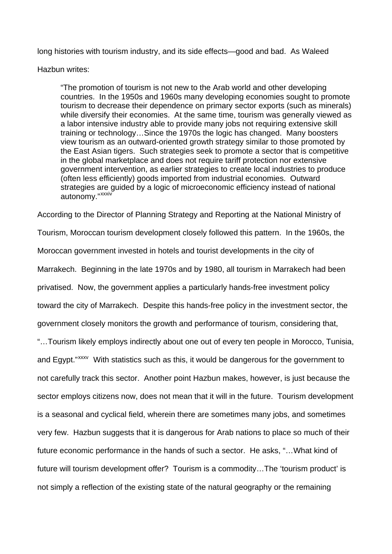long histories with tourism industry, and its side effects—good and bad. As Waleed

Hazbun writes:

"The promotion of tourism is not new to the Arab world and other developing countries. In the 1950s and 1960s many developing economies sought to promote tourism to decrease their dependence on primary sector exports (such as minerals) while diversify their economies. At the same time, tourism was generally viewed as a labor intensive industry able to provide many jobs not requiring extensive skill training or technology…Since the 1970s the logic has changed. Many boosters view tourism as an outward-oriented growth strategy similar to those promoted by the East Asian tigers. Such strategies seek to promote a sector that is competitive in the global marketplace and does not require tariff protection nor extensive government intervention, as earlier strategies to create local industries to produce (often less efficiently) goods imported from industrial economies. Outward strategies are guided by a logic of microeconomic efficiency instead of national autonomy."<sup>[xxxiv](#page-49-1)</sup>

According to the Director of Planning Strategy and Reporting at the National Ministry of Tourism, Moroccan tourism development closely followed this pattern. In the 1960s, the Moroccan government invested in hotels and tourist developments in the city of Marrakech. Beginning in the late 1970s and by 1980, all tourism in Marrakech had been privatised. Now, the government applies a particularly hands-free investment policy toward the city of Marrakech. Despite this hands-free policy in the investment sector, the government closely monitors the growth and performance of tourism, considering that, "…Tourism likely employs indirectly about one out of every ten people in Morocco, Tunisia, and Egypt."<sup>[xxxv](#page-49-1)</sup> With statistics such as this, it would be dangerous for the government to not carefully track this sector. Another point Hazbun makes, however, is just because the sector employs citizens now, does not mean that it will in the future. Tourism development is a seasonal and cyclical field, wherein there are sometimes many jobs, and sometimes very few. Hazbun suggests that it is dangerous for Arab nations to place so much of their future economic performance in the hands of such a sector. He asks, "…What kind of future will tourism development offer? Tourism is a commodity...The 'tourism product' is not simply a reflection of the existing state of the natural geography or the remaining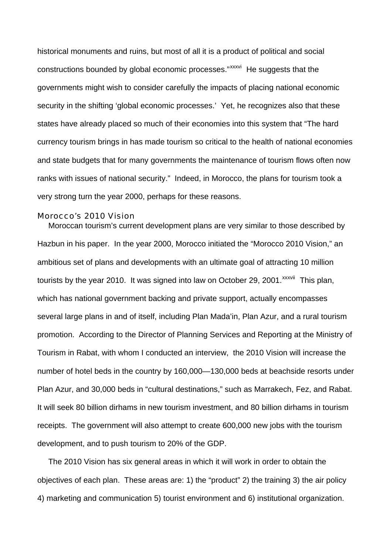historical monuments and ruins, but most of all it is a product of political and social constructions bounded by global economic processes."[xxxvi](#page-49-1) He suggests that the governments might wish to consider carefully the impacts of placing national economic security in the shifting 'global economic processes.' Yet, he recognizes also that these states have already placed so much of their economies into this system that "The hard currency tourism brings in has made tourism so critical to the health of national economies and state budgets that for many governments the maintenance of tourism flows often now ranks with issues of national security." Indeed, in Morocco, the plans for tourism took a very strong turn the year 2000, perhaps for these reasons.

#### Morocco's 2010 Vision

 Moroccan tourism's current development plans are very similar to those described by Hazbun in his paper. In the year 2000, Morocco initiated the "Morocco 2010 Vision," an ambitious set of plans and developments with an ultimate goal of attracting 10 million tourists by the year 2010. It was signed into law on October 29, 2001.<sup>[xxxvii](#page-49-1)</sup> This plan, which has national government backing and private support, actually encompasses several large plans in and of itself, including Plan Mada'in, Plan Azur, and a rural tourism promotion. According to the Director of Planning Services and Reporting at the Ministry of Tourism in Rabat, with whom I conducted an interview, the 2010 Vision will increase the number of hotel beds in the country by 160,000—130,000 beds at beachside resorts under Plan Azur, and 30,000 beds in "cultural destinations," such as Marrakech, Fez, and Rabat. It will seek 80 billion dirhams in new tourism investment, and 80 billion dirhams in tourism receipts. The government will also attempt to create 600,000 new jobs with the tourism development, and to push tourism to 20% of the GDP.

 The 2010 Vision has six general areas in which it will work in order to obtain the objectives of each plan. These areas are: 1) the "product" 2) the training 3) the air policy 4) marketing and communication 5) tourist environment and 6) institutional organization.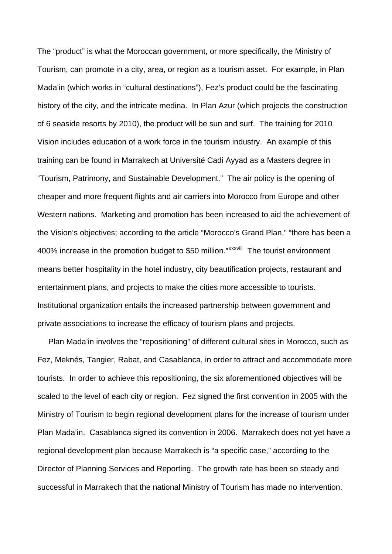The "product" is what the Moroccan government, or more specifically, the Ministry of Tourism, can promote in a city, area, or region as a tourism asset. For example, in Plan Mada'in (which works in "cultural destinations"), Fez's product could be the fascinating history of the city, and the intricate medina. In Plan Azur (which projects the construction of 6 seaside resorts by 2010), the product will be sun and surf. The training for 2010 Vision includes education of a work force in the tourism industry. An example of this training can be found in Marrakech at Université Cadi Ayyad as a Masters degree in "Tourism, Patrimony, and Sustainable Development." The air policy is the opening of cheaper and more frequent flights and air carriers into Morocco from Europe and other Western nations. Marketing and promotion has been increased to aid the achievement of the Vision's objectives; according to the article "Morocco's Grand Plan," "there has been a 400% increase in the promotion budget to \$50 million." XXXVIII The tourist environment means better hospitality in the hotel industry, city beautification projects, restaurant and entertainment plans, and projects to make the cities more accessible to tourists. Institutional organization entails the increased partnership between government and private associations to increase the efficacy of tourism plans and projects.

 Plan Mada'in involves the "repositioning" of different cultural sites in Morocco, such as Fez, Meknés, Tangier, Rabat, and Casablanca, in order to attract and accommodate more tourists. In order to achieve this repositioning, the six aforementioned objectives will be scaled to the level of each city or region. Fez signed the first convention in 2005 with the Ministry of Tourism to begin regional development plans for the increase of tourism under Plan Mada'in. Casablanca signed its convention in 2006. Marrakech does not yet have a regional development plan because Marrakech is "a specific case," according to the Director of Planning Services and Reporting. The growth rate has been so steady and successful in Marrakech that the national Ministry of Tourism has made no intervention.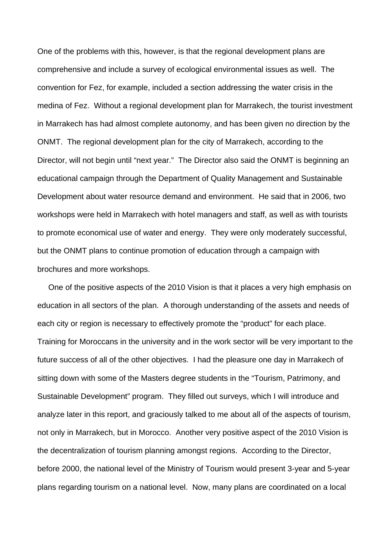One of the problems with this, however, is that the regional development plans are comprehensive and include a survey of ecological environmental issues as well. The convention for Fez, for example, included a section addressing the water crisis in the medina of Fez. Without a regional development plan for Marrakech, the tourist investment in Marrakech has had almost complete autonomy, and has been given no direction by the ONMT. The regional development plan for the city of Marrakech, according to the Director, will not begin until "next year." The Director also said the ONMT is beginning an educational campaign through the Department of Quality Management and Sustainable Development about water resource demand and environment. He said that in 2006, two workshops were held in Marrakech with hotel managers and staff, as well as with tourists to promote economical use of water and energy. They were only moderately successful, but the ONMT plans to continue promotion of education through a campaign with brochures and more workshops.

 One of the positive aspects of the 2010 Vision is that it places a very high emphasis on education in all sectors of the plan. A thorough understanding of the assets and needs of each city or region is necessary to effectively promote the "product" for each place. Training for Moroccans in the university and in the work sector will be very important to the future success of all of the other objectives. I had the pleasure one day in Marrakech of sitting down with some of the Masters degree students in the "Tourism, Patrimony, and Sustainable Development" program. They filled out surveys, which I will introduce and analyze later in this report, and graciously talked to me about all of the aspects of tourism, not only in Marrakech, but in Morocco. Another very positive aspect of the 2010 Vision is the decentralization of tourism planning amongst regions. According to the Director, before 2000, the national level of the Ministry of Tourism would present 3-year and 5-year plans regarding tourism on a national level. Now, many plans are coordinated on a local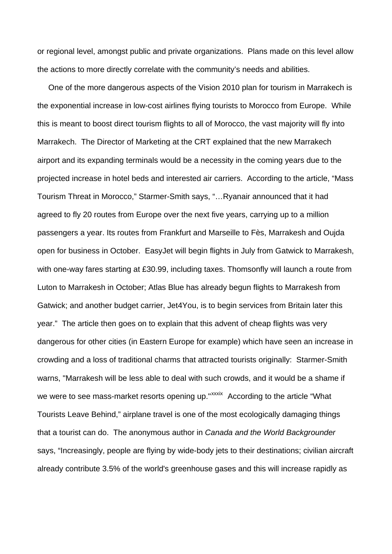or regional level, amongst public and private organizations. Plans made on this level allow the actions to more directly correlate with the community's needs and abilities.

 One of the more dangerous aspects of the Vision 2010 plan for tourism in Marrakech is the exponential increase in low-cost airlines flying tourists to Morocco from Europe. While this is meant to boost direct tourism flights to all of Morocco, the vast majority will fly into Marrakech. The Director of Marketing at the CRT explained that the new Marrakech airport and its expanding terminals would be a necessity in the coming years due to the projected increase in hotel beds and interested air carriers. According to the article, "Mass Tourism Threat in Morocco," Starmer-Smith says, "…Ryanair announced that it had agreed to fly 20 routes from Europe over the next five years, carrying up to a million passengers a year. Its routes from Frankfurt and Marseille to Fès, Marrakesh and Oujda open for business in October. EasyJet will begin flights in July from Gatwick to Marrakesh, with one-way fares starting at £30.99, including taxes. Thomsonfly will launch a route from Luton to Marrakesh in October; Atlas Blue has already begun flights to Marrakesh from Gatwick; and another budget carrier, Jet4You, is to begin services from Britain later this year." The article then goes on to explain that this advent of cheap flights was very dangerous for other cities (in Eastern Europe for example) which have seen an increase in crowding and a loss of traditional charms that attracted tourists originally: Starmer-Smith warns, "Marrakesh will be less able to deal with such crowds, and it would be a shame if we were to see mass-market resorts opening up."<sup>[xxxix](#page-49-1)</sup> According to the article "What Tourists Leave Behind," airplane travel is one of the most ecologically damaging things that a tourist can do. The anonymous author in *Canada and the World Backgrounder*  says, "Increasingly, people are flying by wide-body jets to their destinations; civilian aircraft already contribute 3.5% of the world's greenhouse gases and this will increase rapidly as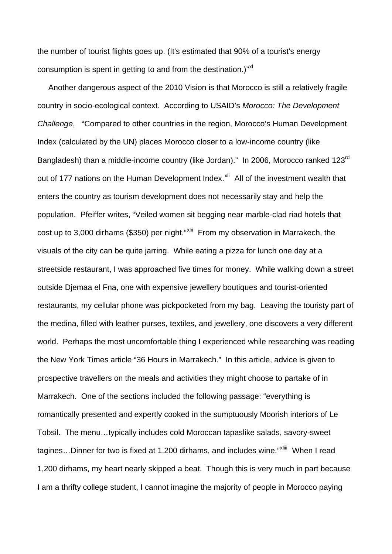the number of tourist flights goes up. (It's estimated that 90% of a tourist's energy consumption is spent in getting to and from the destination.)"XI

 Another dangerous aspect of the 2010 Vision is that Morocco is still a relatively fragile country in socio-ecological context. According to USAID's *Morocco: The Development Challenge*,"Compared to other countries in the region, Morocco's Human Development Index (calculated by the UN) places Morocco closer to a low-income country (like Bangladesh) than a middle-income country (like Jordan)." In 2006, Morocco ranked 123<sup>rd</sup> out of 177 nations on the Human Development Index.<sup>xii</sup> All of the investment wealth that enters the country as tourism development does not necessarily stay and help the population. Pfeiffer writes, "Veiled women sit begging near marble-clad riad hotels that cost up to 3,000 dirhams (\$350) per night."<sup>[xlii](#page-49-1)</sup> From my observation in Marrakech, the visuals of the city can be quite jarring. While eating a pizza for lunch one day at a streetside restaurant, I was approached five times for money. While walking down a street outside Djemaa el Fna, one with expensive jewellery boutiques and tourist-oriented restaurants, my cellular phone was pickpocketed from my bag. Leaving the touristy part of the medina, filled with leather purses, textiles, and jewellery, one discovers a very different world. Perhaps the most uncomfortable thing I experienced while researching was reading the New York Times article "36 Hours in Marrakech." In this article, advice is given to prospective travellers on the meals and activities they might choose to partake of in Marrakech. One of the sections included the following passage: "everything is romantically presented and expertly cooked in the sumptuously Moorish interiors of Le Tobsil. The menu…typically includes cold Moroccan tapaslike salads, savory-sweet tagines...Dinner for two is fixed at 1,200 dirhams, and includes wine."<sup>[xliii](#page-49-1)</sup> When I read 1,200 dirhams, my heart nearly skipped a beat. Though this is very much in part because I am a thrifty college student, I cannot imagine the majority of people in Morocco paying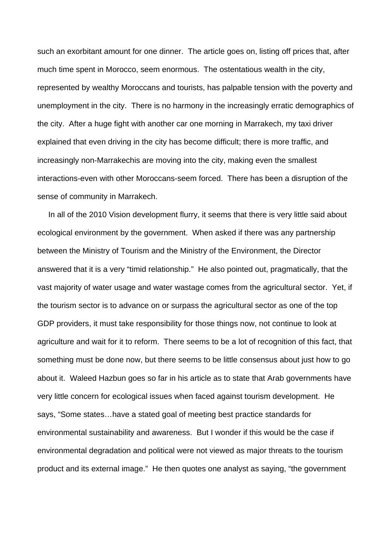such an exorbitant amount for one dinner. The article goes on, listing off prices that, after much time spent in Morocco, seem enormous. The ostentatious wealth in the city, represented by wealthy Moroccans and tourists, has palpable tension with the poverty and unemployment in the city. There is no harmony in the increasingly erratic demographics of the city. After a huge fight with another car one morning in Marrakech, my taxi driver explained that even driving in the city has become difficult; there is more traffic, and increasingly non-Marrakechis are moving into the city, making even the smallest interactions-even with other Moroccans-seem forced. There has been a disruption of the sense of community in Marrakech.

 In all of the 2010 Vision development flurry, it seems that there is very little said about ecological environment by the government. When asked if there was any partnership between the Ministry of Tourism and the Ministry of the Environment, the Director answered that it is a very "timid relationship." He also pointed out, pragmatically, that the vast majority of water usage and water wastage comes from the agricultural sector. Yet, if the tourism sector is to advance on or surpass the agricultural sector as one of the top GDP providers, it must take responsibility for those things now, not continue to look at agriculture and wait for it to reform. There seems to be a lot of recognition of this fact, that something must be done now, but there seems to be little consensus about just how to go about it. Waleed Hazbun goes so far in his article as to state that Arab governments have very little concern for ecological issues when faced against tourism development. He says, "Some states…have a stated goal of meeting best practice standards for environmental sustainability and awareness. But I wonder if this would be the case if environmental degradation and political were not viewed as major threats to the tourism product and its external image." He then quotes one analyst as saying, "the government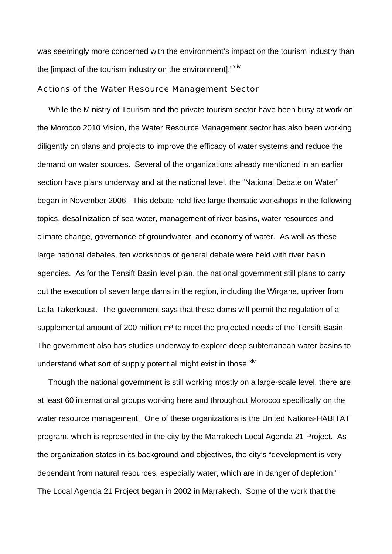was seemingly more concerned with the environment's impact on the tourism industry than the [impact of the tourism industry on the environment]."Xliv

#### Actions of the Water Resource Management Sector

 While the Ministry of Tourism and the private tourism sector have been busy at work on the Morocco 2010 Vision, the Water Resource Management sector has also been working diligently on plans and projects to improve the efficacy of water systems and reduce the demand on water sources. Several of the organizations already mentioned in an earlier section have plans underway and at the national level, the "National Debate on Water" began in November 2006. This debate held five large thematic workshops in the following topics, desalinization of sea water, management of river basins, water resources and climate change, governance of groundwater, and economy of water. As well as these large national debates, ten workshops of general debate were held with river basin agencies. As for the Tensift Basin level plan, the national government still plans to carry out the execution of seven large dams in the region, including the Wirgane, upriver from Lalla Takerkoust. The government says that these dams will permit the regulation of a supplemental amount of 200 million m<sup>3</sup> to meet the projected needs of the Tensift Basin. The government also has studies underway to explore deep subterranean water basins to understand what sort of supply potential might exist in those. $x^{\text{iv}}$ 

 Though the national government is still working mostly on a large-scale level, there are at least 60 international groups working here and throughout Morocco specifically on the water resource management. One of these organizations is the United Nations-HABITAT program, which is represented in the city by the Marrakech Local Agenda 21 Project. As the organization states in its background and objectives, the city's "development is very dependant from natural resources, especially water, which are in danger of depletion." The Local Agenda 21 Project began in 2002 in Marrakech. Some of the work that the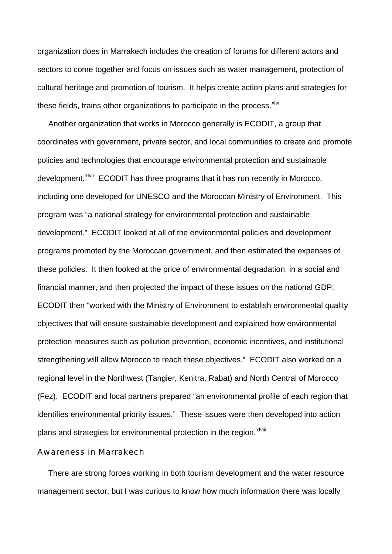organization does in Marrakech includes the creation of forums for different actors and sectors to come together and focus on issues such as water management, protection of cultural heritage and promotion of tourism. It helps create action plans and strategies for these fields, trains other organizations to participate in the process. $x^{\text{Mvi}}$ 

 Another organization that works in Morocco generally is ECODIT, a group that coordinates with government, private sector, and local communities to create and promote policies and technologies that encourage environmental protection and sustainable development.<sup>XIVII</sup> ECODIT has three programs that it has run recently in Morocco, including one developed for UNESCO and the Moroccan Ministry of Environment. This program was "a national strategy for environmental protection and sustainable development." ECODIT looked at all of the environmental policies and development programs promoted by the Moroccan government, and then estimated the expenses of these policies. It then looked at the price of environmental degradation, in a social and financial manner, and then projected the impact of these issues on the national GDP. ECODIT then "worked with the Ministry of Environment to establish environmental quality objectives that will ensure sustainable development and explained how environmental protection measures such as pollution prevention, economic incentives, and institutional strengthening will allow Morocco to reach these objectives." ECODIT also worked on a regional level in the Northwest (Tangier, Kenitra, Rabat) and North Central of Morocco (Fez). ECODIT and local partners prepared "an environmental profile of each region that identifies environmental priority issues." These issues were then developed into action plans and strategies for environmental protection in the region. Xlviii

#### Awareness in Marrakech

 There are strong forces working in both tourism development and the water resource management sector, but I was curious to know how much information there was locally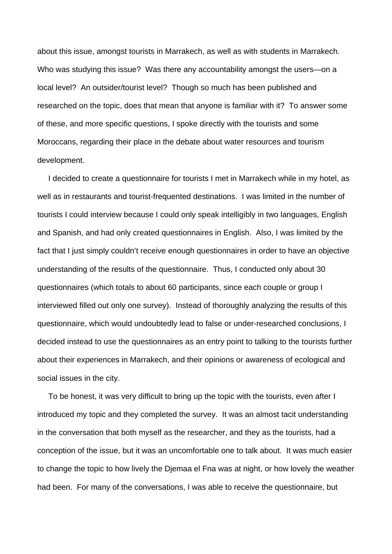about this issue, amongst tourists in Marrakech, as well as with students in Marrakech. Who was studying this issue? Was there any accountability amongst the users—on a local level? An outsider/tourist level? Though so much has been published and researched on the topic, does that mean that anyone is familiar with it? To answer some of these, and more specific questions, I spoke directly with the tourists and some Moroccans, regarding their place in the debate about water resources and tourism development.

 I decided to create a questionnaire for tourists I met in Marrakech while in my hotel, as well as in restaurants and tourist-frequented destinations. I was limited in the number of tourists I could interview because I could only speak intelligibly in two languages, English and Spanish, and had only created questionnaires in English. Also, I was limited by the fact that I just simply couldn't receive enough questionnaires in order to have an objective understanding of the results of the questionnaire. Thus, I conducted only about 30 questionnaires (which totals to about 60 participants, since each couple or group I interviewed filled out only one survey). Instead of thoroughly analyzing the results of this questionnaire, which would undoubtedly lead to false or under-researched conclusions, I decided instead to use the questionnaires as an entry point to talking to the tourists further about their experiences in Marrakech, and their opinions or awareness of ecological and social issues in the city.

 To be honest, it was very difficult to bring up the topic with the tourists, even after I introduced my topic and they completed the survey. It was an almost tacit understanding in the conversation that both myself as the researcher, and they as the tourists, had a conception of the issue, but it was an uncomfortable one to talk about. It was much easier to change the topic to how lively the Djemaa el Fna was at night, or how lovely the weather had been. For many of the conversations, I was able to receive the questionnaire, but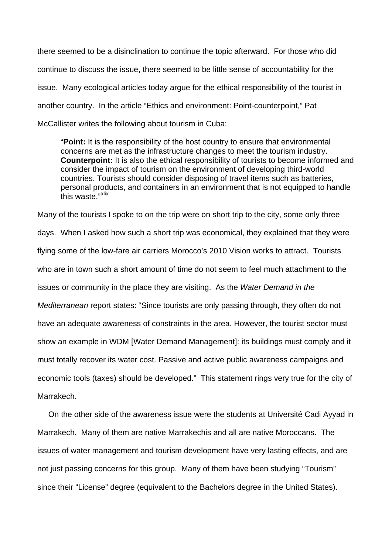there seemed to be a disinclination to continue the topic afterward. For those who did continue to discuss the issue, there seemed to be little sense of accountability for the issue. Many ecological articles today argue for the ethical responsibility of the tourist in another country. In the article "Ethics and environment: Point-counterpoint," Pat McCallister writes the following about tourism in Cuba:

"**Point:** It is the responsibility of the host country to ensure that environmental concerns are met as the infrastructure changes to meet the tourism industry. **Counterpoint:** It is also the ethical responsibility of tourists to become informed and consider the impact of tourism on the environment of developing third-world countries. Tourists should consider disposing of travel items such as batteries, personal products, and containers in an environment that is not equipped to handle this waste."Xlix

Many of the tourists I spoke to on the trip were on short trip to the city, some only three days. When I asked how such a short trip was economical, they explained that they were flying some of the low-fare air carriers Morocco's 2010 Vision works to attract. Tourists who are in town such a short amount of time do not seem to feel much attachment to the issues or community in the place they are visiting. As the *Water Demand in the Mediterranean* report states: "Since tourists are only passing through, they often do not have an adequate awareness of constraints in the area. However, the tourist sector must show an example in WDM [Water Demand Management]: its buildings must comply and it must totally recover its water cost. Passive and active public awareness campaigns and economic tools (taxes) should be developed." This statement rings very true for the city of Marrakech.

 On the other side of the awareness issue were the students at Université Cadi Ayyad in Marrakech. Many of them are native Marrakechis and all are native Moroccans. The issues of water management and tourism development have very lasting effects, and are not just passing concerns for this group. Many of them have been studying "Tourism" since their "License" degree (equivalent to the Bachelors degree in the United States).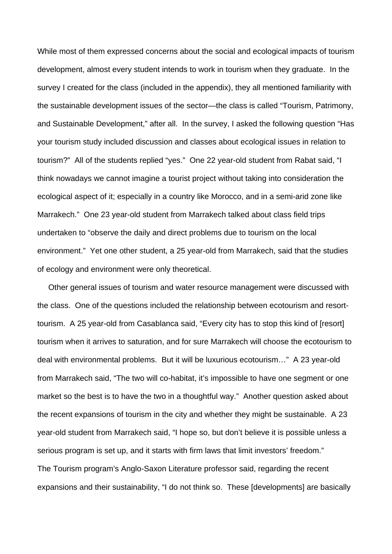While most of them expressed concerns about the social and ecological impacts of tourism development, almost every student intends to work in tourism when they graduate. In the survey I created for the class (included in the appendix), they all mentioned familiarity with the sustainable development issues of the sector—the class is called "Tourism, Patrimony, and Sustainable Development," after all. In the survey, I asked the following question "Has your tourism study included discussion and classes about ecological issues in relation to tourism?" All of the students replied "yes." One 22 year-old student from Rabat said, "I think nowadays we cannot imagine a tourist project without taking into consideration the ecological aspect of it; especially in a country like Morocco, and in a semi-arid zone like Marrakech." One 23 year-old student from Marrakech talked about class field trips undertaken to "observe the daily and direct problems due to tourism on the local environment." Yet one other student, a 25 year-old from Marrakech, said that the studies of ecology and environment were only theoretical.

 Other general issues of tourism and water resource management were discussed with the class. One of the questions included the relationship between ecotourism and resorttourism. A 25 year-old from Casablanca said, "Every city has to stop this kind of [resort] tourism when it arrives to saturation, and for sure Marrakech will choose the ecotourism to deal with environmental problems. But it will be luxurious ecotourism…" A 23 year-old from Marrakech said, "The two will co-habitat, it's impossible to have one segment or one market so the best is to have the two in a thoughtful way." Another question asked about the recent expansions of tourism in the city and whether they might be sustainable. A 23 year-old student from Marrakech said, "I hope so, but don't believe it is possible unless a serious program is set up, and it starts with firm laws that limit investors' freedom." The Tourism program's Anglo-Saxon Literature professor said, regarding the recent expansions and their sustainability, "I do not think so. These [developments] are basically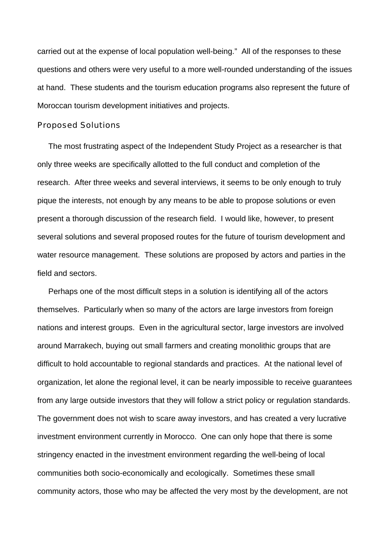carried out at the expense of local population well-being." All of the responses to these questions and others were very useful to a more well-rounded understanding of the issues at hand. These students and the tourism education programs also represent the future of Moroccan tourism development initiatives and projects.

#### Proposed Solutions

 The most frustrating aspect of the Independent Study Project as a researcher is that only three weeks are specifically allotted to the full conduct and completion of the research. After three weeks and several interviews, it seems to be only enough to truly pique the interests, not enough by any means to be able to propose solutions or even present a thorough discussion of the research field. I would like, however, to present several solutions and several proposed routes for the future of tourism development and water resource management. These solutions are proposed by actors and parties in the field and sectors.

 Perhaps one of the most difficult steps in a solution is identifying all of the actors themselves. Particularly when so many of the actors are large investors from foreign nations and interest groups. Even in the agricultural sector, large investors are involved around Marrakech, buying out small farmers and creating monolithic groups that are difficult to hold accountable to regional standards and practices. At the national level of organization, let alone the regional level, it can be nearly impossible to receive guarantees from any large outside investors that they will follow a strict policy or regulation standards. The government does not wish to scare away investors, and has created a very lucrative investment environment currently in Morocco. One can only hope that there is some stringency enacted in the investment environment regarding the well-being of local communities both socio-economically and ecologically. Sometimes these small community actors, those who may be affected the very most by the development, are not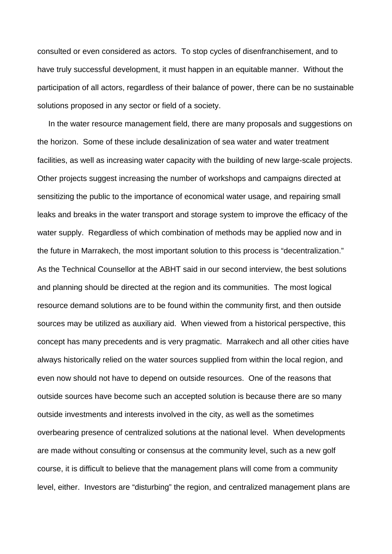consulted or even considered as actors. To stop cycles of disenfranchisement, and to have truly successful development, it must happen in an equitable manner. Without the participation of all actors, regardless of their balance of power, there can be no sustainable solutions proposed in any sector or field of a society.

 In the water resource management field, there are many proposals and suggestions on the horizon. Some of these include desalinization of sea water and water treatment facilities, as well as increasing water capacity with the building of new large-scale projects. Other projects suggest increasing the number of workshops and campaigns directed at sensitizing the public to the importance of economical water usage, and repairing small leaks and breaks in the water transport and storage system to improve the efficacy of the water supply. Regardless of which combination of methods may be applied now and in the future in Marrakech, the most important solution to this process is "decentralization." As the Technical Counsellor at the ABHT said in our second interview, the best solutions and planning should be directed at the region and its communities. The most logical resource demand solutions are to be found within the community first, and then outside sources may be utilized as auxiliary aid. When viewed from a historical perspective, this concept has many precedents and is very pragmatic. Marrakech and all other cities have always historically relied on the water sources supplied from within the local region, and even now should not have to depend on outside resources. One of the reasons that outside sources have become such an accepted solution is because there are so many outside investments and interests involved in the city, as well as the sometimes overbearing presence of centralized solutions at the national level. When developments are made without consulting or consensus at the community level, such as a new golf course, it is difficult to believe that the management plans will come from a community level, either. Investors are "disturbing" the region, and centralized management plans are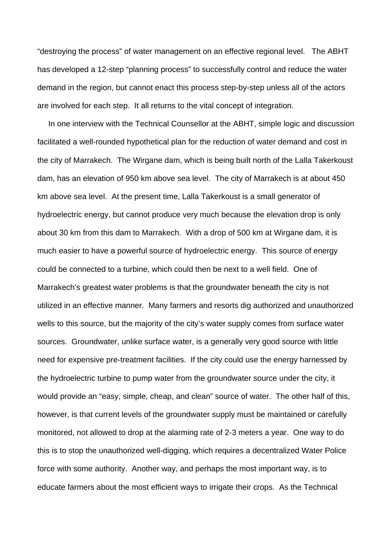"destroying the process" of water management on an effective regional level. The ABHT has developed a 12-step "planning process" to successfully control and reduce the water demand in the region, but cannot enact this process step-by-step unless all of the actors are involved for each step. It all returns to the vital concept of integration.

 In one interview with the Technical Counsellor at the ABHT, simple logic and discussion facilitated a well-rounded hypothetical plan for the reduction of water demand and cost in the city of Marrakech. The Wirgane dam, which is being built north of the Lalla Takerkoust dam, has an elevation of 950 km above sea level. The city of Marrakech is at about 450 km above sea level. At the present time, Lalla Takerkoust is a small generator of hydroelectric energy, but cannot produce very much because the elevation drop is only about 30 km from this dam to Marrakech. With a drop of 500 km at Wirgane dam, it is much easier to have a powerful source of hydroelectric energy. This source of energy could be connected to a turbine, which could then be next to a well field. One of Marrakech's greatest water problems is that the groundwater beneath the city is not utilized in an effective manner. Many farmers and resorts dig authorized and unauthorized wells to this source, but the majority of the city's water supply comes from surface water sources. Groundwater, unlike surface water, is a generally very good source with little need for expensive pre-treatment facilities. If the city could use the energy harnessed by the hydroelectric turbine to pump water from the groundwater source under the city, it would provide an "easy, simple, cheap, and clean" source of water. The other half of this, however, is that current levels of the groundwater supply must be maintained or carefully monitored, not allowed to drop at the alarming rate of 2-3 meters a year. One way to do this is to stop the unauthorized well-digging, which requires a decentralized Water Police force with some authority. Another way, and perhaps the most important way, is to educate farmers about the most efficient ways to irrigate their crops. As the Technical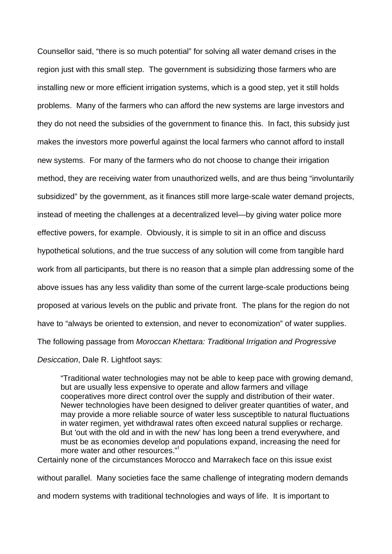Counsellor said, "there is so much potential" for solving all water demand crises in the region just with this small step. The government is subsidizing those farmers who are installing new or more efficient irrigation systems, which is a good step, yet it still holds problems. Many of the farmers who can afford the new systems are large investors and they do not need the subsidies of the government to finance this. In fact, this subsidy just makes the investors more powerful against the local farmers who cannot afford to install new systems. For many of the farmers who do not choose to change their irrigation method, they are receiving water from unauthorized wells, and are thus being "involuntarily subsidized" by the government, as it finances still more large-scale water demand projects, instead of meeting the challenges at a decentralized level—by giving water police more effective powers, for example. Obviously, it is simple to sit in an office and discuss hypothetical solutions, and the true success of any solution will come from tangible hard work from all participants, but there is no reason that a simple plan addressing some of the above issues has any less validity than some of the current large-scale productions being proposed at various levels on the public and private front. The plans for the region do not have to "always be oriented to extension, and never to economization" of water supplies. The following passage from *Moroccan Khettara: Traditional Irrigation and Progressive* 

*Desiccation*, Dale R. Lightfoot says:

"Traditional water technologies may not be able to keep pace with growing demand, but are usually less expensive to operate and allow farmers and village cooperatives more direct control over the supply and distribution of their water. Newer technologies have been designed to deliver greater quantities of water, and may provide a more reliable source of water less susceptible to natural fluctuations in water regimen, yet withdrawal rates often exceed natural supplies or recharge. But 'out with the old and in with the new' has long been a trend everywhere, and must be as economies develop and populations expand, increasing the need for more water and other resources."

Certainly none of the circumstances Morocco and Marrakech face on this issue exist

without parallel. Many societies face the same challenge of integrating modern demands

and modern systems with traditional technologies and ways of life. It is important to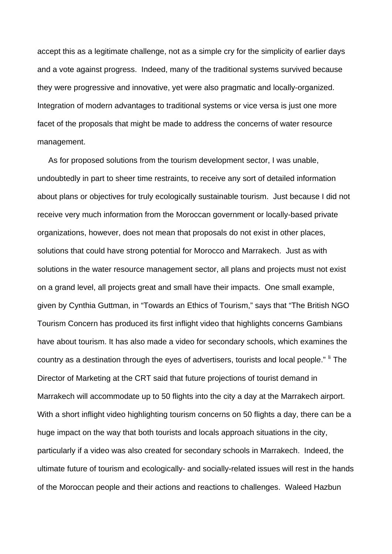accept this as a legitimate challenge, not as a simple cry for the simplicity of earlier days and a vote against progress. Indeed, many of the traditional systems survived because they were progressive and innovative, yet were also pragmatic and locally-organized. Integration of modern advantages to traditional systems or vice versa is just one more facet of the proposals that might be made to address the concerns of water resource management.

 As for proposed solutions from the tourism development sector, I was unable, undoubtedly in part to sheer time restraints, to receive any sort of detailed information about plans or objectives for truly ecologically sustainable tourism. Just because I did not receive very much information from the Moroccan government or locally-based private organizations, however, does not mean that proposals do not exist in other places, solutions that could have strong potential for Morocco and Marrakech. Just as with solutions in the water resource management sector, all plans and projects must not exist on a grand level, all projects great and small have their impacts. One small example, given by Cynthia Guttman, in "Towards an Ethics of Tourism," says that "The British NGO Tourism Concern has produced its first inflight video that highlights concerns Gambians have about tourism. It has also made a video for secondary schools, which examines the country as a destination through the eyes of advertisers, tourists and local people."  $\overline{ }$  $\overline{ }$  $\overline{ }$  The Director of Marketing at the CRT said that future projections of tourist demand in Marrakech will accommodate up to 50 flights into the city a day at the Marrakech airport. With a short inflight video highlighting tourism concerns on 50 flights a day, there can be a huge impact on the way that both tourists and locals approach situations in the city, particularly if a video was also created for secondary schools in Marrakech. Indeed, the ultimate future of tourism and ecologically- and socially-related issues will rest in the hands of the Moroccan people and their actions and reactions to challenges. Waleed Hazbun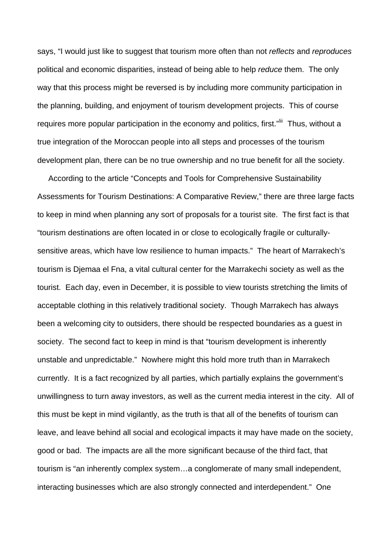says, "I would just like to suggest that tourism more often than not *reflects* and *reproduces* political and economic disparities, instead of being able to help *reduce* them. The only way that this process might be reversed is by including more community participation in the planning, building, and enjoyment of tourism development projects. This of course requires more popular participation in the economy and politics, first."<sup>Iii</sup> Thus, without a true integration of the Moroccan people into all steps and processes of the tourism development plan, there can be no true ownership and no true benefit for all the society.

 According to the article "Concepts and Tools for Comprehensive Sustainability Assessments for Tourism Destinations: A Comparative Review," there are three large facts to keep in mind when planning any sort of proposals for a tourist site. The first fact is that "tourism destinations are often located in or close to ecologically fragile or culturallysensitive areas, which have low resilience to human impacts." The heart of Marrakech's tourism is Djemaa el Fna, a vital cultural center for the Marrakechi society as well as the tourist. Each day, even in December, it is possible to view tourists stretching the limits of acceptable clothing in this relatively traditional society. Though Marrakech has always been a welcoming city to outsiders, there should be respected boundaries as a guest in society. The second fact to keep in mind is that "tourism development is inherently unstable and unpredictable." Nowhere might this hold more truth than in Marrakech currently. It is a fact recognized by all parties, which partially explains the government's unwillingness to turn away investors, as well as the current media interest in the city. All of this must be kept in mind vigilantly, as the truth is that all of the benefits of tourism can leave, and leave behind all social and ecological impacts it may have made on the society, good or bad. The impacts are all the more significant because of the third fact, that tourism is "an inherently complex system…a conglomerate of many small independent, interacting businesses which are also strongly connected and interdependent." One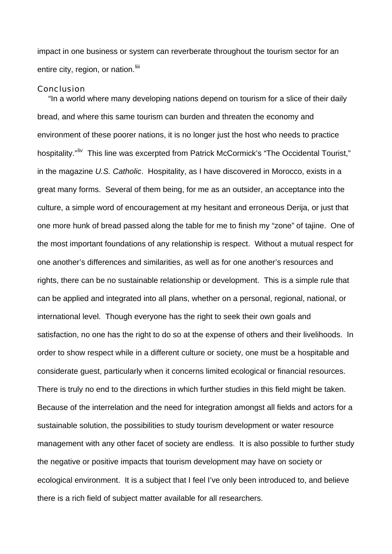impact in one business or system can reverberate throughout the tourism sector for an entire city, region, or nation.<sup>[liii](#page-49-1)</sup>

#### **Conclusion**

 "In a world where many developing nations depend on tourism for a slice of their daily bread, and where this same tourism can burden and threaten the economy and environment of these poorer nations, it is no longer just the host who needs to practice hospitality."<sup>[liv](#page-49-1)</sup> This line was excerpted from Patrick McCormick's "The Occidental Tourist," in the magazine *U.S. Catholic*. Hospitality, as I have discovered in Morocco, exists in a great many forms. Several of them being, for me as an outsider, an acceptance into the culture, a simple word of encouragement at my hesitant and erroneous Derija, or just that one more hunk of bread passed along the table for me to finish my "zone" of tajine. One of the most important foundations of any relationship is respect. Without a mutual respect for one another's differences and similarities, as well as for one another's resources and rights, there can be no sustainable relationship or development. This is a simple rule that can be applied and integrated into all plans, whether on a personal, regional, national, or international level. Though everyone has the right to seek their own goals and satisfaction, no one has the right to do so at the expense of others and their livelihoods. In order to show respect while in a different culture or society, one must be a hospitable and considerate guest, particularly when it concerns limited ecological or financial resources. There is truly no end to the directions in which further studies in this field might be taken. Because of the interrelation and the need for integration amongst all fields and actors for a sustainable solution, the possibilities to study tourism development or water resource management with any other facet of society are endless. It is also possible to further study the negative or positive impacts that tourism development may have on society or ecological environment. It is a subject that I feel I've only been introduced to, and believe there is a rich field of subject matter available for all researchers.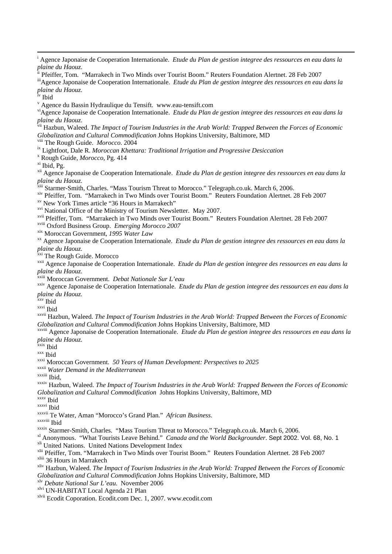Pfeiffer, Tom. "Marrakech in Two Minds over Tourist Boom." Reuters Foundation Alertnet. 28 Feb 2007

i<sup>ii</sup> Agence Japonaise de Cooperation Internationale. *Etude du Plan de gestion integree des ressources en eau dans la plaine du Haouz.* 

 $v$  Ibid

v Agence du Bassin Hydraulique du Tensift. www.eau-tensift.com

viAgence Japonaise de Cooperation Internationale. *Etude du Plan de gestion integree des ressources en eau dans la plaine du Haouz.*

vii Hazbun, Waleed. *The Impact of Tourism Industries in the Arab World: Trapped Between the Forces of Economic Globalization and Cultural Commodification* Johns Hopkins University, Baltimore, MD

<sup>viii</sup> The Rough Guide. *Morocco.* 2004<br><sup>ix</sup> Lightfoot, Dale R. *Moroccan Khettara: Traditional Irrigation and Progressive Desiccation* 

<sup>x</sup> Rough Guide, *Morocco*, Pg. 414<br><sup>xi</sup> Ibid, Pg.

xii Agence Japonaise de Cooperation Internationale. *Etude du Plan de gestion integree des ressources en eau dans la plaine du Haouz.*

xiii Starmer-Smith, Charles. "Mass Tourism Threat to Morocco." Telegraph.co.uk. March 6, 2006.

<sup>xiv</sup> Pfeiffer, Tom. "Marrakech in Two Minds over Tourist Boom." Reuters Foundation Alertnet. 28 Feb 2007 <sup>xv</sup> New York Times article "36 Hours in Marrakech"

<sup>xvi</sup> National Office of the Ministry of Tourism Newsletter. May 2007.

xvii Pfeiffer, Tom. "Marrakech in Two Minds over Tourist Boom." Reuters Foundation Alertnet. 28 Feb 2007

<sup>xviii</sup> Oxford Business Group. *Emerging Morocco 2007*<br><sup>xix</sup> Moroccan Government, 1995 Water Law<br><sup>xx</sup> Agence Japonaise de Cooperation Internationale. *Etude du Plan de gestion integree des ressources en eau dans la plaine du Haouz.*<br><sup>xxi</sup> The Rough Guide. Morocco

<sup>xxii</sup> Agence Japonaise de Cooperation Internationale. *Etude du Plan de gestion integree des ressources en eau dans la plaine du Haouz.*

xxiii Moroccan Government. *Debat Nationale Sur L'eau* 

xxiv Agence Japonaise de Cooperation Internationale. *Etude du Plan de gestion integree des ressources en eau dans la plaine du Haouz.*

xxv Ibid

xxvi Ibid

xxvii Hazbun, Waleed. *The Impact of Tourism Industries in the Arab World: Trapped Between the Forces of Economic Globalization and Cultural Commodification* Johns Hopkins University, Baltimore, MD

xxviii Agence Japonaise de Cooperation Internationale. *Etude du Plan de gestion integree des ressources en eau dans la plaine du Haouz.*

xxix Ibid xxx Ibid xxxi Moroccan Government. *50 Years of Human Development: Perspectives to 2025* xxxii *Water Demand in the Mediterranean* xxxiii Ibid,

xxxiv Hazbun, Waleed. *The Impact of Tourism Industries in the Arab World: Trapped Between the Forces of Economic Globalization and Cultural Commodification* Johns Hopkins University, Baltimore, MD xxxv Ibid

xxxvi Ibid<br>xxxvii Te Water, Aman "Morocco's Grand Plan." African Business.

XXXVIII Ibid<br>
XXXVIII Ibid<br>
XXXXIII Ibid<br>
XIII Anonymous. "What Tourists Leave Behind." Canada and the World Backgrounder. Sept 2002. Vol. 68, No. 1<br>
XII United Nations. United Nations Development Index

<sup>xlii</sup> Pfeiffer, Tom. "Marrakech in Two Minds over Tourist Boom." Reuters Foundation Alertnet. 28 Feb 2007 <sup>xliii</sup> 36 Hours in Marrakech

xliv Hazbun, Waleed. *The Impact of Tourism Industries in the Arab World: Trapped Between the Forces of Economic Globalization and Cultural Commodification* Johns Hopkins University, Baltimore, MD

xlv *Debate National Sur L'eau.* November 2006

xlvi UN-HABITAT Local Agenda 21 Plan

xlvii Ecodit Coporation. Ecodit.com Dec. 1, 2007. www.ecodit.com

i Agence Japonaise de Cooperation Internationale. *Etude du Plan de gestion integree des ressources en eau dans la plaine du Haouz.*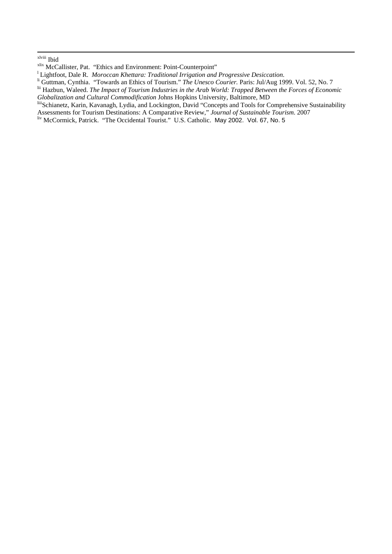*Globalization and Cultural Commodification* Johns Hopkins University, Baltimore, MD liiiSchianetz, Karin, Kavanagh, Lydia, and Lockington, David "Concepts and Tools for Comprehensive Sustainability Assessments for Tourism Destinations: A Comparative Review," *Journal of Sustainable Tourism*. 2007

liv McCormick, Patrick. "The Occidental Tourist." U.S. Catholic. May 2002. Vol. 67, No. 5

xlviii Ibid<br><sup>xlix</sup> McCallister, Pat. "Ethics and Environment: Point-Counterpoint"

<sup>&</sup>lt;sup>1</sup> Lightfoot, Dale R. *Moroccan Khettara: Traditional Irrigation and Progressive Desiccation.*<br><sup>1</sup> Guttman, Cynthia. "Towards an Ethics of Tourism." *The Unesco Courier*. Paris: Jul/Aug 1999. Vol. 52, No. 7<br><sup>11</sup> Hazbun, W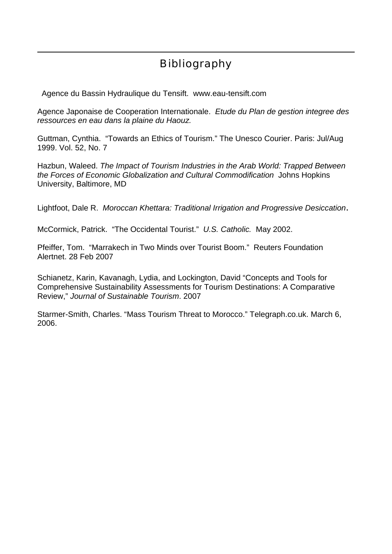## **Bibliography**

Agence du Bassin Hydraulique du Tensift. www.eau-tensift.com

 $\overline{a}$ 

Agence Japonaise de Cooperation Internationale. *Etude du Plan de gestion integree des ressources en eau dans la plaine du Haouz.*

Guttman, Cynthia. "Towards an Ethics of Tourism." The Unesco Courier. Paris: Jul/Aug 1999. Vol. 52, No. 7

Hazbun, Waleed. *The Impact of Tourism Industries in the Arab World: Trapped Between the Forces of Economic Globalization and Cultural Commodification* Johns Hopkins University, Baltimore, MD

Lightfoot, Dale R. *Moroccan Khettara: Traditional Irrigation and Progressive Desiccation*.

McCormick, Patrick. "The Occidental Tourist." *U.S. Catholic.* May 2002.

Pfeiffer, Tom. "Marrakech in Two Minds over Tourist Boom." Reuters Foundation Alertnet. 28 Feb 2007

Schianetz, Karin, Kavanagh, Lydia, and Lockington, David "Concepts and Tools for Comprehensive Sustainability Assessments for Tourism Destinations: A Comparative Review," *Journal of Sustainable Tourism*. 2007

Starmer-Smith, Charles. "Mass Tourism Threat to Morocco." Telegraph.co.uk. March 6, 2006.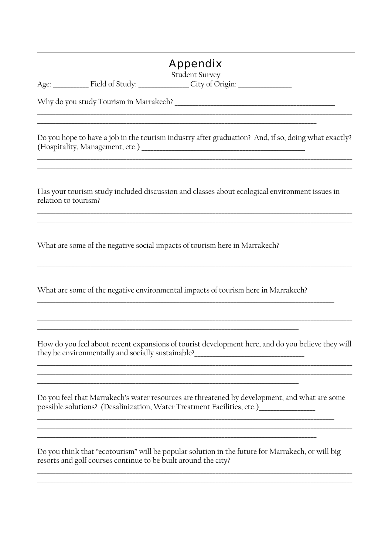| <b>Appendix</b><br><b>Student Survey</b> |                                                   |                                                                                                                                                                                                                                                  |                                                                                                     |  |  |  |  |  |  |
|------------------------------------------|---------------------------------------------------|--------------------------------------------------------------------------------------------------------------------------------------------------------------------------------------------------------------------------------------------------|-----------------------------------------------------------------------------------------------------|--|--|--|--|--|--|
|                                          |                                                   |                                                                                                                                                                                                                                                  |                                                                                                     |  |  |  |  |  |  |
|                                          |                                                   |                                                                                                                                                                                                                                                  | Do you hope to have a job in the tourism industry after graduation? And, if so, doing what exactly? |  |  |  |  |  |  |
|                                          |                                                   | <u> 1989 - Johann Stoff, amerikansk politiker (d. 1989)</u><br>Has your tourism study included discussion and classes about ecological environment issues in<br>,我们也不能在这里的时候,我们也不能在这里的时候,我们也不能会在这里,我们也不能会在这里的时候,我们也不能会在这里的时候,我们也不能会在这里的时候,我们也不能会 |                                                                                                     |  |  |  |  |  |  |
|                                          |                                                   | What are some of the negative social impacts of tourism here in Marrakech?<br><u> 1980 - Johann Barn, amerikansk politiker (* 1908)</u>                                                                                                          |                                                                                                     |  |  |  |  |  |  |
|                                          |                                                   | What are some of the negative environmental impacts of tourism here in Marrakech?                                                                                                                                                                |                                                                                                     |  |  |  |  |  |  |
|                                          | they be environmentally and socially sustainable? |                                                                                                                                                                                                                                                  | How do you feel about recent expansions of tourist development here, and do you believe they will   |  |  |  |  |  |  |
|                                          |                                                   | Do you feel that Marrakech's water resources are threatened by development, and what are some<br>possible solutions? (Desalinization, Water Treatment Facilities, etc.) [10001]                                                                  |                                                                                                     |  |  |  |  |  |  |
|                                          |                                                   | Do you think that "ecotourism" will be popular solution in the future for Marrakech, or will big<br>resorts and golf courses continue to be built around the city?___________________                                                            |                                                                                                     |  |  |  |  |  |  |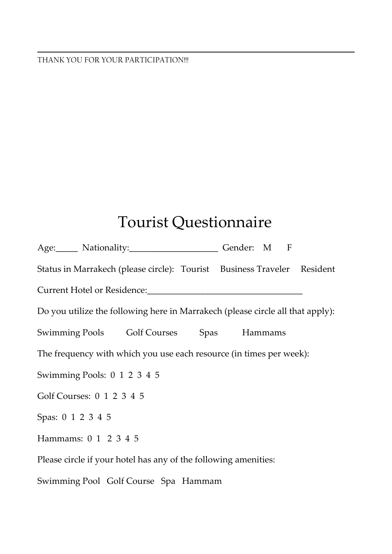$\overline{a}$ 

# Tourist Questionnaire

| Age: Nationality: Gender: M F                                                  |  |  |  |  |  |  |  |  |  |
|--------------------------------------------------------------------------------|--|--|--|--|--|--|--|--|--|
| Status in Marrakech (please circle): Tourist Business Traveler Resident        |  |  |  |  |  |  |  |  |  |
|                                                                                |  |  |  |  |  |  |  |  |  |
| Do you utilize the following here in Marrakech (please circle all that apply): |  |  |  |  |  |  |  |  |  |
| Swimming Pools Golf Courses Spas Hammams                                       |  |  |  |  |  |  |  |  |  |
| The frequency with which you use each resource (in times per week):            |  |  |  |  |  |  |  |  |  |
| Swimming Pools: 0 1 2 3 4 5                                                    |  |  |  |  |  |  |  |  |  |
| Golf Courses: 0 1 2 3 4 5                                                      |  |  |  |  |  |  |  |  |  |
| Spas: 0 1 2 3 4 5                                                              |  |  |  |  |  |  |  |  |  |
| Hammams: 0 1 2 3 4 5                                                           |  |  |  |  |  |  |  |  |  |
| Please circle if your hotel has any of the following amenities:                |  |  |  |  |  |  |  |  |  |
| Swimming Pool Golf Course Spa Hammam                                           |  |  |  |  |  |  |  |  |  |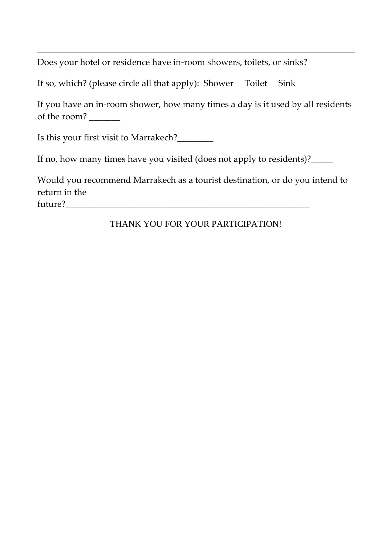Does your hotel or residence have in‐room showers, toilets, or sinks?

If so, which? (please circle all that apply): Shower Toilet Sink

If you have an in‐room shower, how many times a day is it used by all residents of the room?

Is this your first visit to Marrakech?\_\_\_\_\_\_\_\_

If no, how many times have you visited (does not apply to residents)?

Would you recommend Marrakech as a tourist destination, or do you intend to return in the future?

 $\overline{a}$ 

THANK YOU FOR YOUR PARTICIPATION!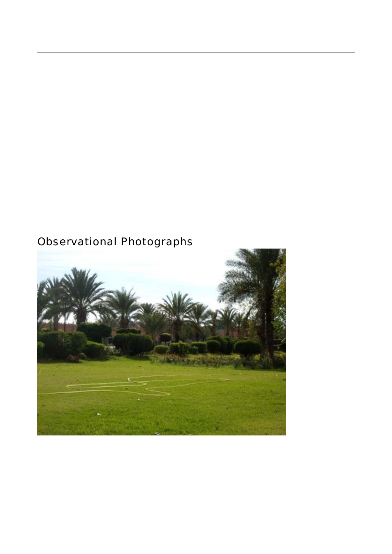## Observational Photographs

 $\overline{a}$ 

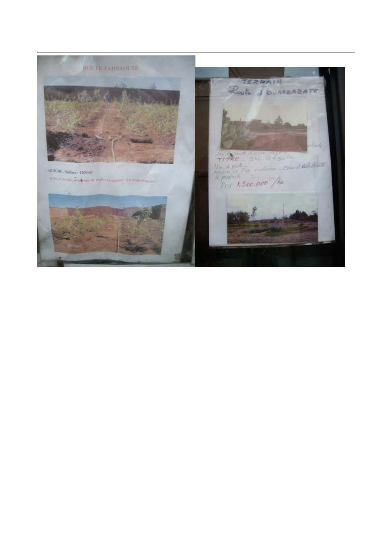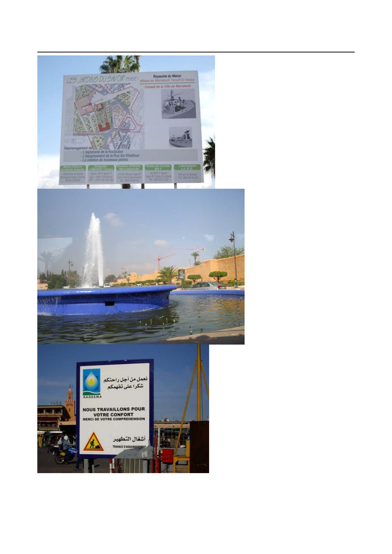

**NOUS TRAVAILLONS POUR<br>VOTRE CONFORT<br>MERCI DE VOTRE COMPREHENSION** 

أشغال التطهير TRAVAUX D'ASSA